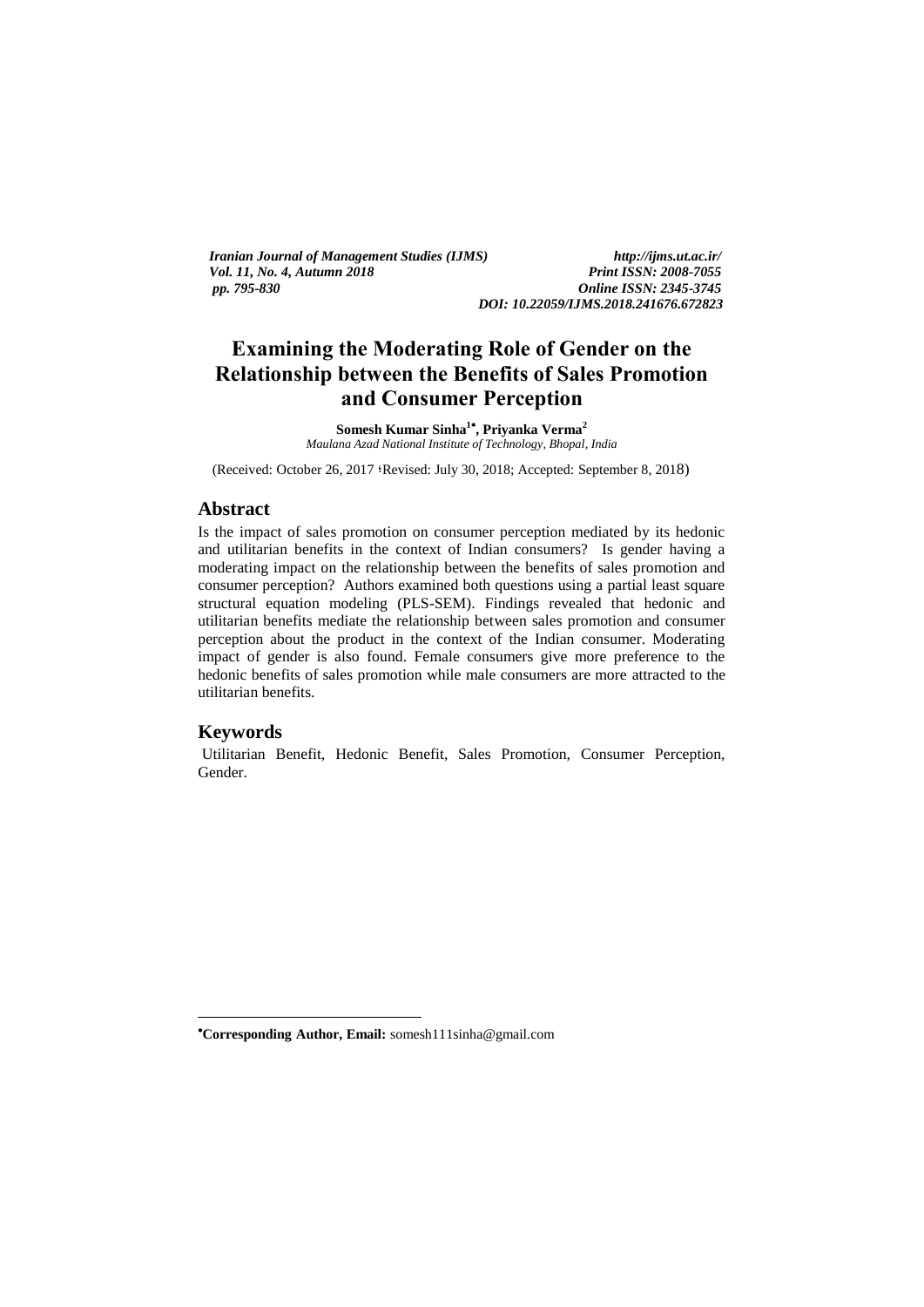*Iranian Journal of Management Studies (IJMS) http://ijms.ut.ac.ir/ Vol. 11, No. 4, Autumn 2018 pp. 795-830 Online ISSN: 2345-3745*

*DOI: 10.22059/IJMS.2018.241676.672823*

# **Examining the Moderating Role of Gender on the Relationship between the Benefits of Sales Promotion and Consumer Perception**

**Somesh Kumar Sinha<sup>1</sup> , Priyanka Verma<sup>2</sup>** *Maulana Azad National Institute of Technology, Bhopal, India*

(Received: October 26, 2017 ؛Revised: July 30, 2018; Accepted: September 8, 2018)

### **Abstract**

Is the impact of sales promotion on consumer perception mediated by its hedonic and utilitarian benefits in the context of Indian consumers? Is gender having a moderating impact on the relationship between the benefits of sales promotion and consumer perception? Authors examined both questions using a partial least square structural equation modeling (PLS-SEM). Findings revealed that hedonic and utilitarian benefits mediate the relationship between sales promotion and consumer perception about the product in the context of the Indian consumer. Moderating impact of gender is also found. Female consumers give more preference to the hedonic benefits of sales promotion while male consumers are more attracted to the utilitarian benefits.

### **Keywords**

1

Utilitarian Benefit, Hedonic Benefit, Sales Promotion, Consumer Perception, Gender.

**Corresponding Author, Email:** somesh111sinha@gmail.com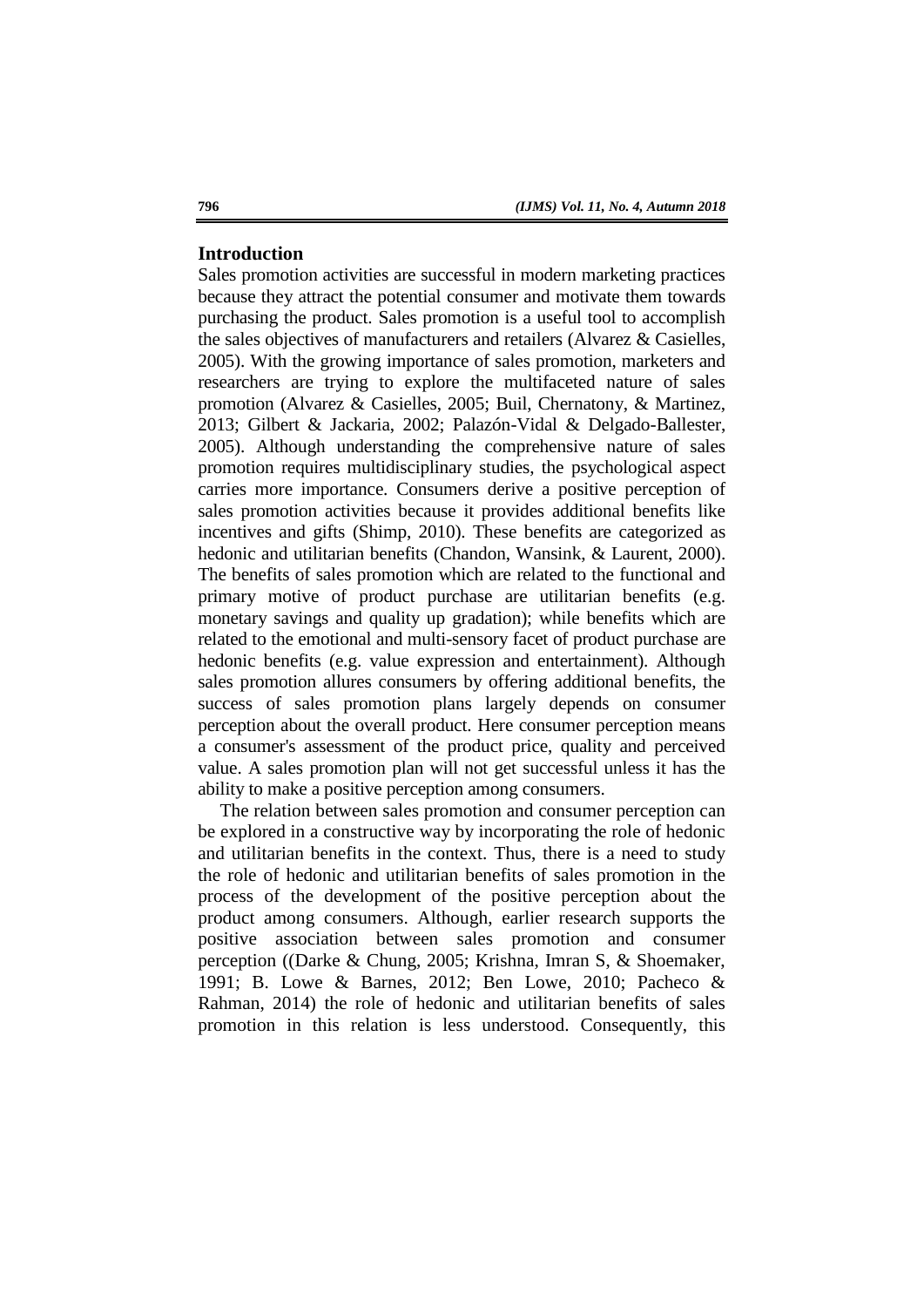# **Introduction**

Sales promotion activities are successful in modern marketing practices because they attract the potential consumer and motivate them towards purchasing the product. Sales promotion is a useful tool to accomplish the sales objectives of manufacturers and retailers (Alvarez & Casielles, 2005). With the growing importance of sales promotion, marketers and researchers are trying to explore the multifaceted nature of sales promotion (Alvarez & Casielles, 2005; Buil, Chernatony, & Martinez, 2013; Gilbert & Jackaria, 2002; Palazón-Vidal & Delgado-Ballester, 2005). Although understanding the comprehensive nature of sales promotion requires multidisciplinary studies, the psychological aspect carries more importance. Consumers derive a positive perception of sales promotion activities because it provides additional benefits like incentives and gifts (Shimp, 2010). These benefits are categorized as hedonic and utilitarian benefits (Chandon, Wansink, & Laurent, 2000). The benefits of sales promotion which are related to the functional and primary motive of product purchase are utilitarian benefits (e.g. monetary savings and quality up gradation); while benefits which are related to the emotional and multi-sensory facet of product purchase are hedonic benefits (e.g. value expression and entertainment). Although sales promotion allures consumers by offering additional benefits, the success of sales promotion plans largely depends on consumer perception about the overall product. Here consumer perception means a consumer's assessment of the product price, quality and perceived value. A sales promotion plan will not get successful unless it has the ability to make a positive perception among consumers.

The relation between sales promotion and consumer perception can be explored in a constructive way by incorporating the role of hedonic and utilitarian benefits in the context. Thus, there is a need to study the role of hedonic and utilitarian benefits of sales promotion in the process of the development of the positive perception about the product among consumers. Although, earlier research supports the positive association between sales promotion and consumer perception ((Darke & Chung, 2005; Krishna, Imran S, & Shoemaker, 1991; B. Lowe & Barnes, 2012; Ben Lowe, 2010; Pacheco & Rahman, 2014) the role of hedonic and utilitarian benefits of sales promotion in this relation is less understood. Consequently, this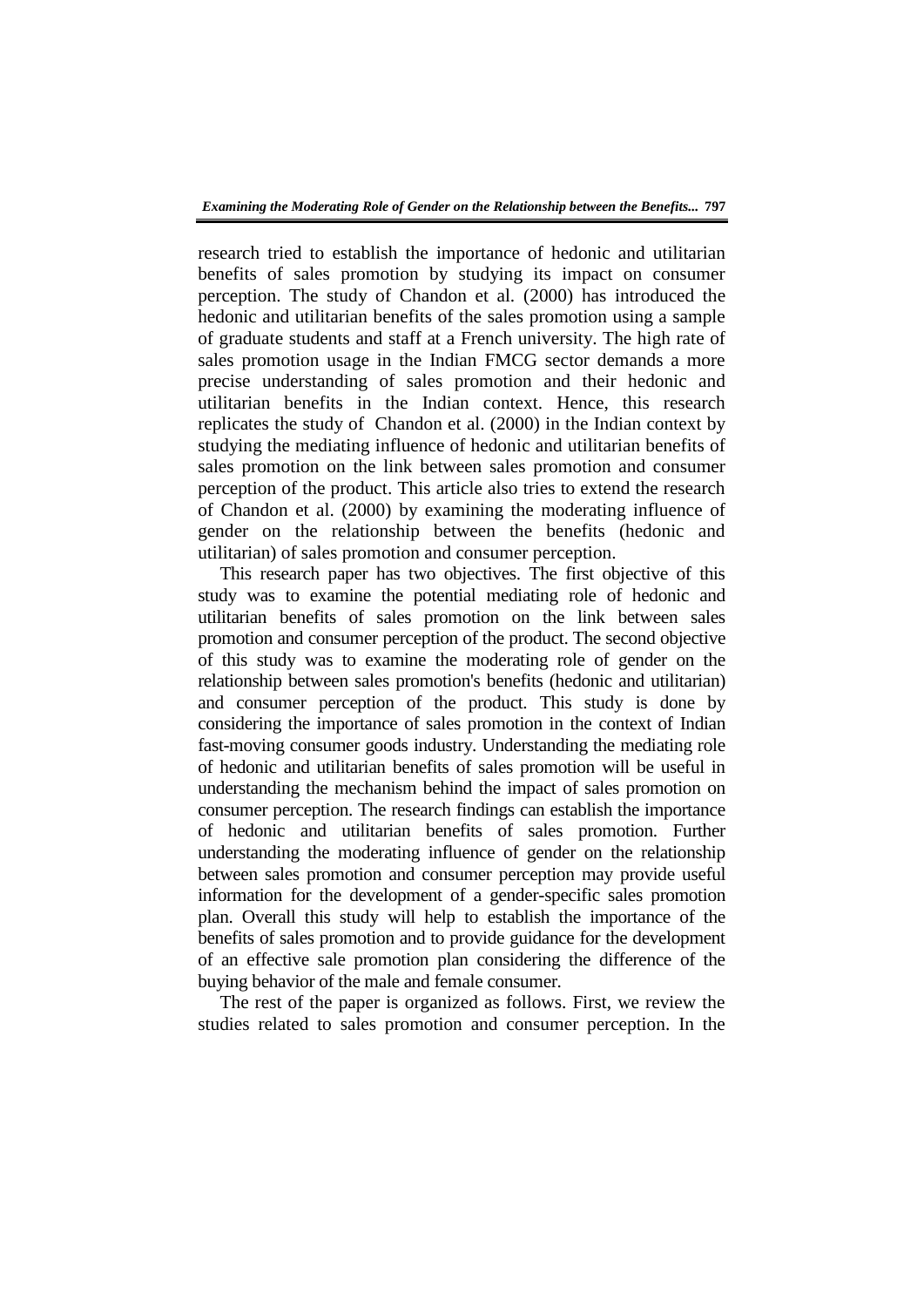research tried to establish the importance of hedonic and utilitarian benefits of sales promotion by studying its impact on consumer perception. The study of Chandon et al. (2000) has introduced the hedonic and utilitarian benefits of the sales promotion using a sample of graduate students and staff at a French university. The high rate of sales promotion usage in the Indian FMCG sector demands a more precise understanding of sales promotion and their hedonic and utilitarian benefits in the Indian context. Hence, this research replicates the study of Chandon et al. (2000) in the Indian context by studying the mediating influence of hedonic and utilitarian benefits of sales promotion on the link between sales promotion and consumer perception of the product. This article also tries to extend the research of Chandon et al. (2000) by examining the moderating influence of gender on the relationship between the benefits (hedonic and utilitarian) of sales promotion and consumer perception.

This research paper has two objectives. The first objective of this study was to examine the potential mediating role of hedonic and utilitarian benefits of sales promotion on the link between sales promotion and consumer perception of the product. The second objective of this study was to examine the moderating role of gender on the relationship between sales promotion's benefits (hedonic and utilitarian) and consumer perception of the product. This study is done by considering the importance of sales promotion in the context of Indian fast-moving consumer goods industry. Understanding the mediating role of hedonic and utilitarian benefits of sales promotion will be useful in understanding the mechanism behind the impact of sales promotion on consumer perception. The research findings can establish the importance of hedonic and utilitarian benefits of sales promotion. Further understanding the moderating influence of gender on the relationship between sales promotion and consumer perception may provide useful information for the development of a gender-specific sales promotion plan. Overall this study will help to establish the importance of the benefits of sales promotion and to provide guidance for the development of an effective sale promotion plan considering the difference of the buying behavior of the male and female consumer.

The rest of the paper is organized as follows. First, we review the studies related to sales promotion and consumer perception. In the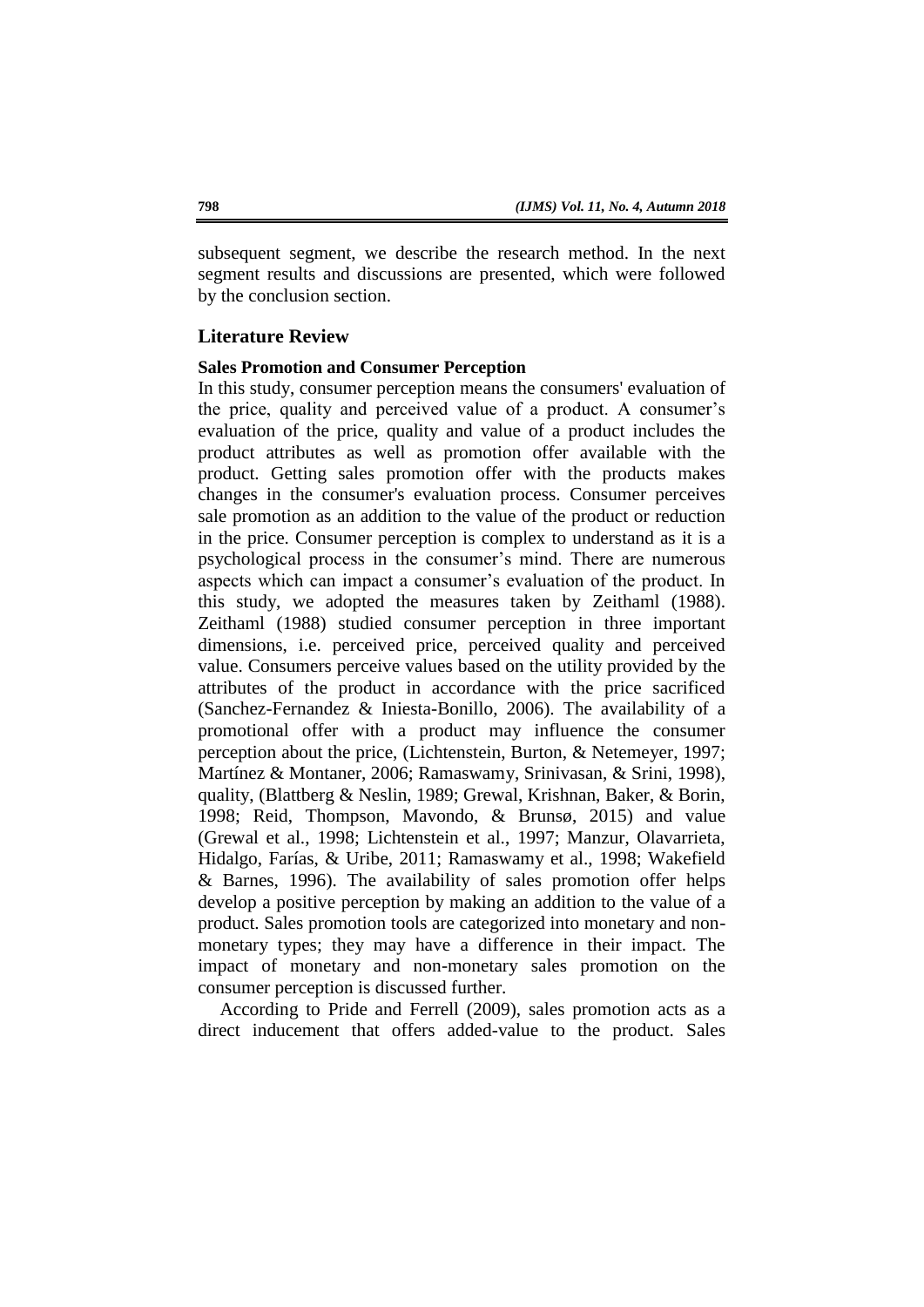subsequent segment, we describe the research method. In the next segment results and discussions are presented, which were followed by the conclusion section.

# **Literature Review**

# **Sales Promotion and Consumer Perception**

In this study, consumer perception means the consumers' evaluation of the price, quality and perceived value of a product. A consumer's evaluation of the price, quality and value of a product includes the product attributes as well as promotion offer available with the product. Getting sales promotion offer with the products makes changes in the consumer's evaluation process. Consumer perceives sale promotion as an addition to the value of the product or reduction in the price. Consumer perception is complex to understand as it is a psychological process in the consumer's mind. There are numerous aspects which can impact a consumer's evaluation of the product. In this study, we adopted the measures taken by Zeithaml (1988). Zeithaml (1988) studied consumer perception in three important dimensions, i.e. perceived price, perceived quality and perceived value. Consumers perceive values based on the utility provided by the attributes of the product in accordance with the price sacrificed (Sanchez-Fernandez & Iniesta-Bonillo, 2006). The availability of a promotional offer with a product may influence the consumer perception about the price, (Lichtenstein, Burton, & Netemeyer, 1997; Martínez & Montaner, 2006; Ramaswamy, Srinivasan, & Srini, 1998), quality, (Blattberg & Neslin, 1989; Grewal, Krishnan, Baker, & Borin, 1998; Reid, Thompson, Mavondo, & Brunsø, 2015) and value (Grewal et al., 1998; Lichtenstein et al., 1997; Manzur, Olavarrieta, Hidalgo, Farías, & Uribe, 2011; Ramaswamy et al., 1998; Wakefield & Barnes, 1996). The availability of sales promotion offer helps develop a positive perception by making an addition to the value of a product. Sales promotion tools are categorized into monetary and nonmonetary types; they may have a difference in their impact. The impact of monetary and non-monetary sales promotion on the consumer perception is discussed further.

According to Pride and Ferrell (2009), sales promotion acts as a direct inducement that offers added-value to the product. Sales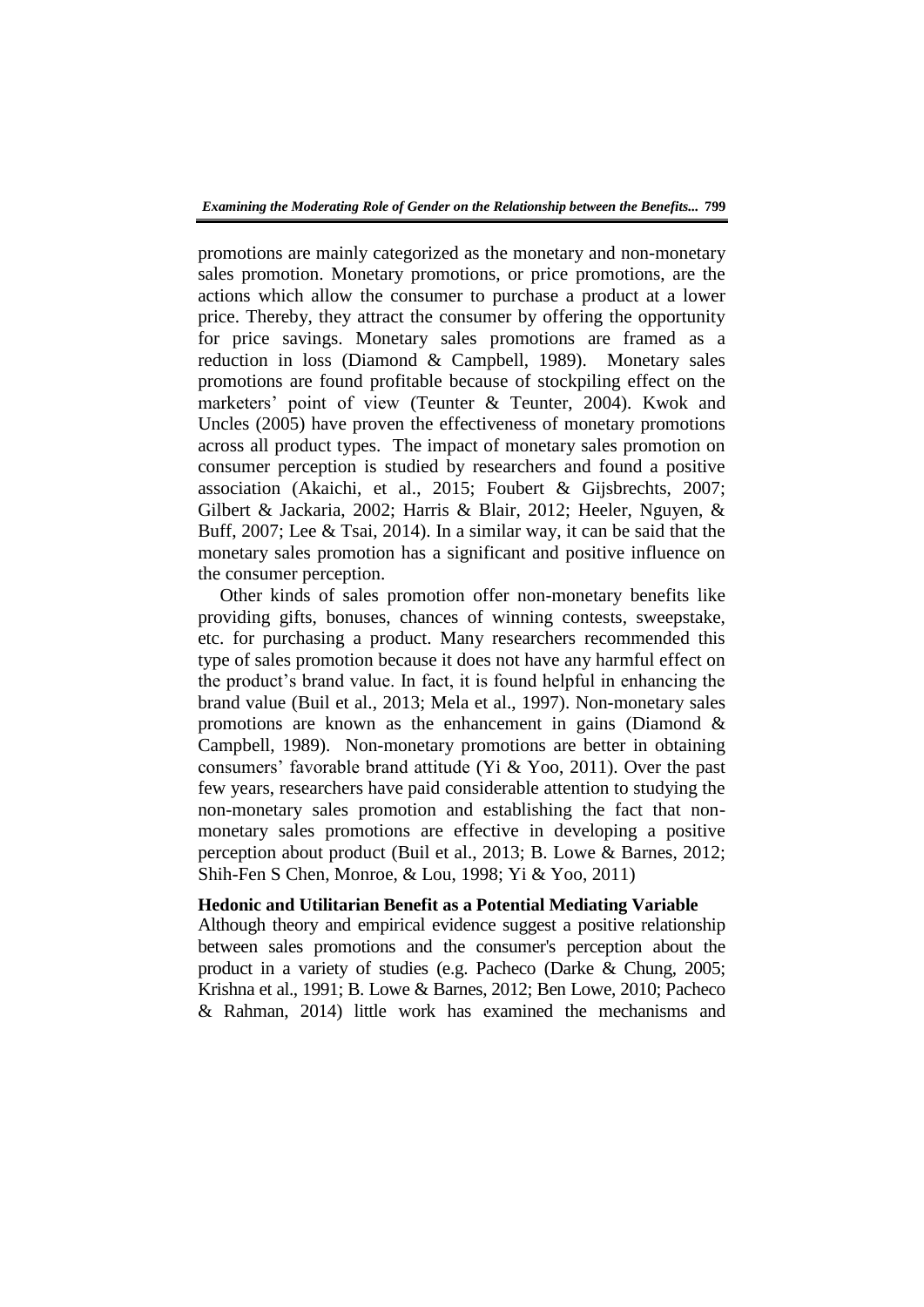promotions are mainly categorized as the monetary and non-monetary sales promotion. Monetary promotions, or price promotions, are the actions which allow the consumer to purchase a product at a lower price. Thereby, they attract the consumer by offering the opportunity for price savings. Monetary sales promotions are framed as a reduction in loss (Diamond & Campbell, 1989). Monetary sales promotions are found profitable because of stockpiling effect on the marketers' point of view (Teunter & Teunter, 2004). Kwok and Uncles (2005) have proven the effectiveness of monetary promotions across all product types. The impact of monetary sales promotion on consumer perception is studied by researchers and found a positive association (Akaichi, et al., 2015; Foubert & Gijsbrechts, 2007; Gilbert & Jackaria, 2002; Harris & Blair, 2012; Heeler, Nguyen, & Buff, 2007; Lee & Tsai, 2014). In a similar way, it can be said that the monetary sales promotion has a significant and positive influence on the consumer perception.

Other kinds of sales promotion offer non-monetary benefits like providing gifts, bonuses, chances of winning contests, sweepstake, etc. for purchasing a product. Many researchers recommended this type of sales promotion because it does not have any harmful effect on the product's brand value. In fact, it is found helpful in enhancing the brand value (Buil et al., 2013; Mela et al., 1997). Non-monetary sales promotions are known as the enhancement in gains (Diamond & Campbell, 1989). Non-monetary promotions are better in obtaining consumers' favorable brand attitude (Yi & Yoo, 2011). Over the past few years, researchers have paid considerable attention to studying the non-monetary sales promotion and establishing the fact that nonmonetary sales promotions are effective in developing a positive perception about product (Buil et al., 2013; B. Lowe & Barnes, 2012; Shih-Fen S Chen, Monroe, & Lou, 1998; Yi & Yoo, 2011)

## **Hedonic and Utilitarian Benefit as a Potential Mediating Variable**

Although theory and empirical evidence suggest a positive relationship between sales promotions and the consumer's perception about the product in a variety of studies (e.g. Pacheco (Darke & Chung, 2005; Krishna et al., 1991; B. Lowe & Barnes, 2012; Ben Lowe, 2010; Pacheco & Rahman, 2014) little work has examined the mechanisms and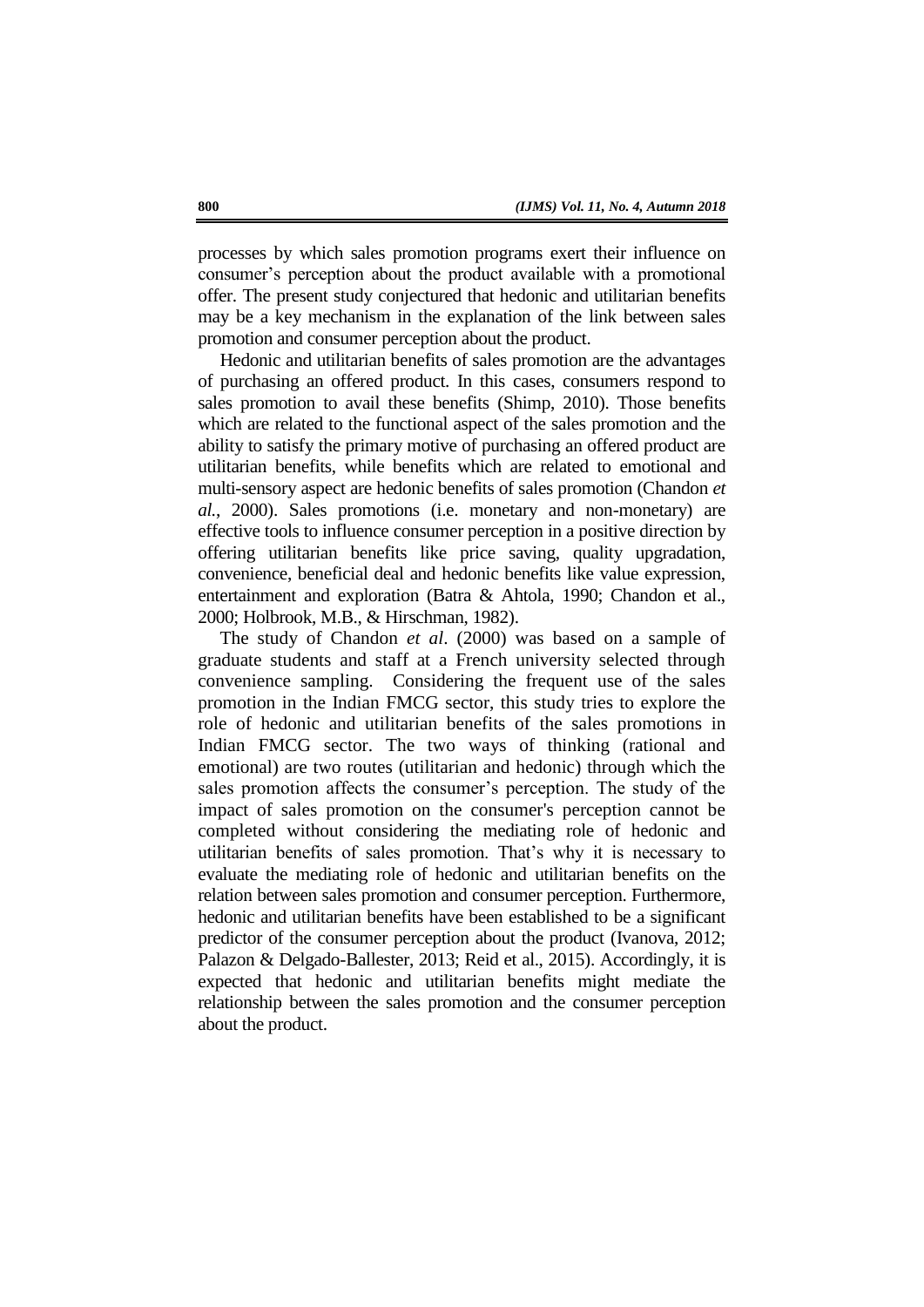processes by which sales promotion programs exert their influence on consumer's perception about the product available with a promotional offer. The present study conjectured that hedonic and utilitarian benefits may be a key mechanism in the explanation of the link between sales promotion and consumer perception about the product.

Hedonic and utilitarian benefits of sales promotion are the advantages of purchasing an offered product. In this cases, consumers respond to sales promotion to avail these benefits (Shimp, 2010). Those benefits which are related to the functional aspect of the sales promotion and the ability to satisfy the primary motive of purchasing an offered product are utilitarian benefits, while benefits which are related to emotional and multi-sensory aspect are hedonic benefits of sales promotion (Chandon *et al.*, 2000). Sales promotions (i.e. monetary and non-monetary) are effective tools to influence consumer perception in a positive direction by offering utilitarian benefits like price saving, quality upgradation, convenience, beneficial deal and hedonic benefits like value expression, entertainment and exploration (Batra & Ahtola, 1990; Chandon et al., 2000; Holbrook, M.B., & Hirschman, 1982).

The study of Chandon *et al*. (2000) was based on a sample of graduate students and staff at a French university selected through convenience sampling. Considering the frequent use of the sales promotion in the Indian FMCG sector, this study tries to explore the role of hedonic and utilitarian benefits of the sales promotions in Indian FMCG sector. The two ways of thinking (rational and emotional) are two routes (utilitarian and hedonic) through which the sales promotion affects the consumer's perception. The study of the impact of sales promotion on the consumer's perception cannot be completed without considering the mediating role of hedonic and utilitarian benefits of sales promotion. That's why it is necessary to evaluate the mediating role of hedonic and utilitarian benefits on the relation between sales promotion and consumer perception. Furthermore, hedonic and utilitarian benefits have been established to be a significant predictor of the consumer perception about the product (Ivanova, 2012; Palazon & Delgado-Ballester, 2013; Reid et al., 2015). Accordingly, it is expected that hedonic and utilitarian benefits might mediate the relationship between the sales promotion and the consumer perception about the product.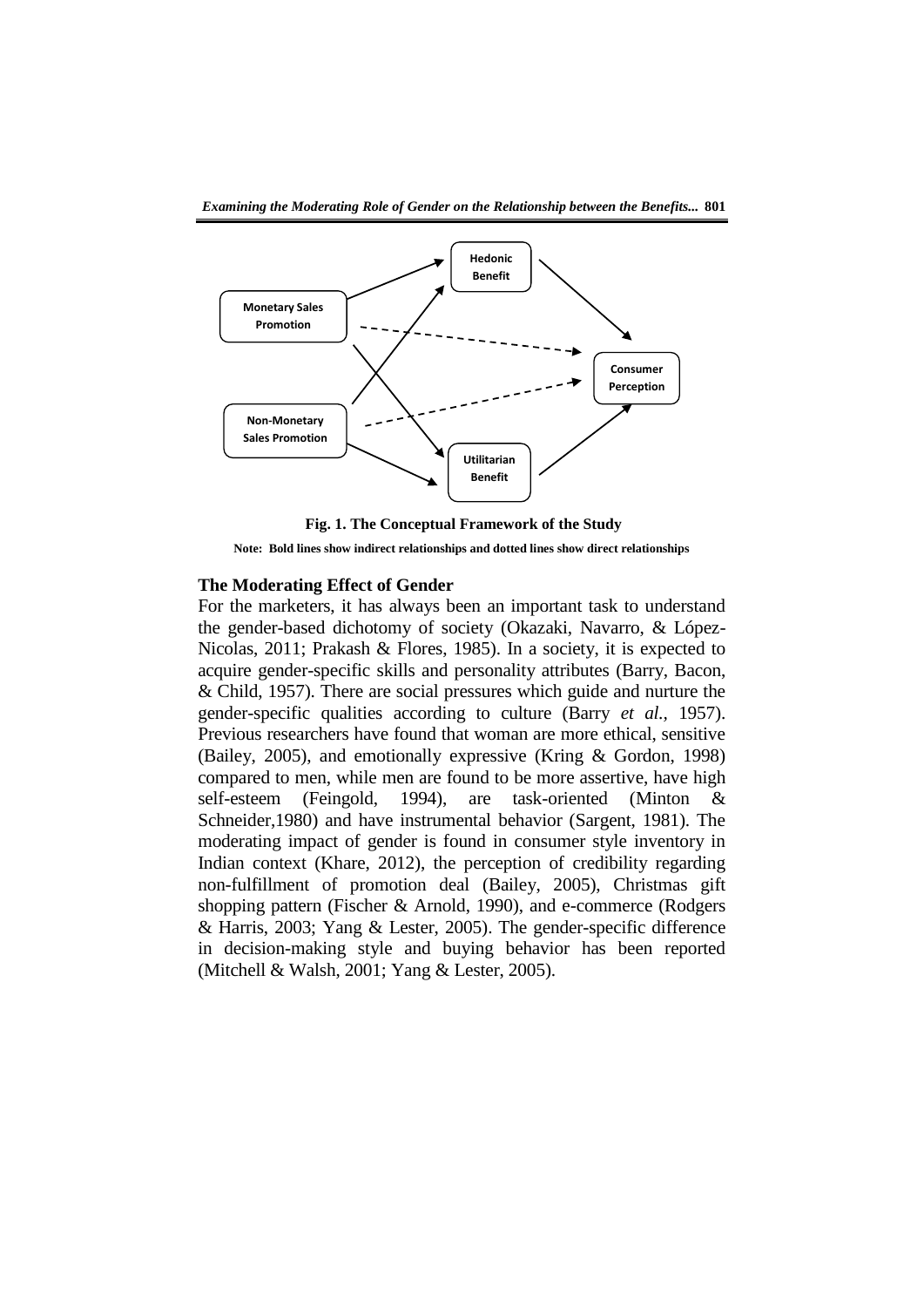

**Fig. 1. The Conceptual Framework of the Study** 

**Note: Bold lines show indirect relationships and dotted lines show direct relationships** 

## **The Moderating Effect of Gender**

For the marketers, it has always been an important task to understand the gender-based dichotomy of society (Okazaki, Navarro, & López-Nicolas, 2011; Prakash & Flores, 1985). In a society, it is expected to acquire gender-specific skills and personality attributes (Barry, Bacon, & Child, 1957). There are social pressures which guide and nurture the gender-specific qualities according to culture (Barry *et al.,* 1957). Previous researchers have found that woman are more ethical, sensitive (Bailey, 2005), and emotionally expressive (Kring & Gordon, 1998) compared to men, while men are found to be more assertive, have high self-esteem (Feingold, 1994), are task-oriented (Minton & Schneider,1980) and have instrumental behavior (Sargent, 1981). The moderating impact of gender is found in consumer style inventory in Indian context (Khare, 2012), the perception of credibility regarding non-fulfillment of promotion deal (Bailey, 2005), Christmas gift shopping pattern (Fischer & Arnold, 1990), and e-commerce (Rodgers & Harris, 2003; Yang & Lester, 2005). The gender-specific difference in decision-making style and buying behavior has been reported (Mitchell & Walsh, 2001; Yang & Lester, 2005).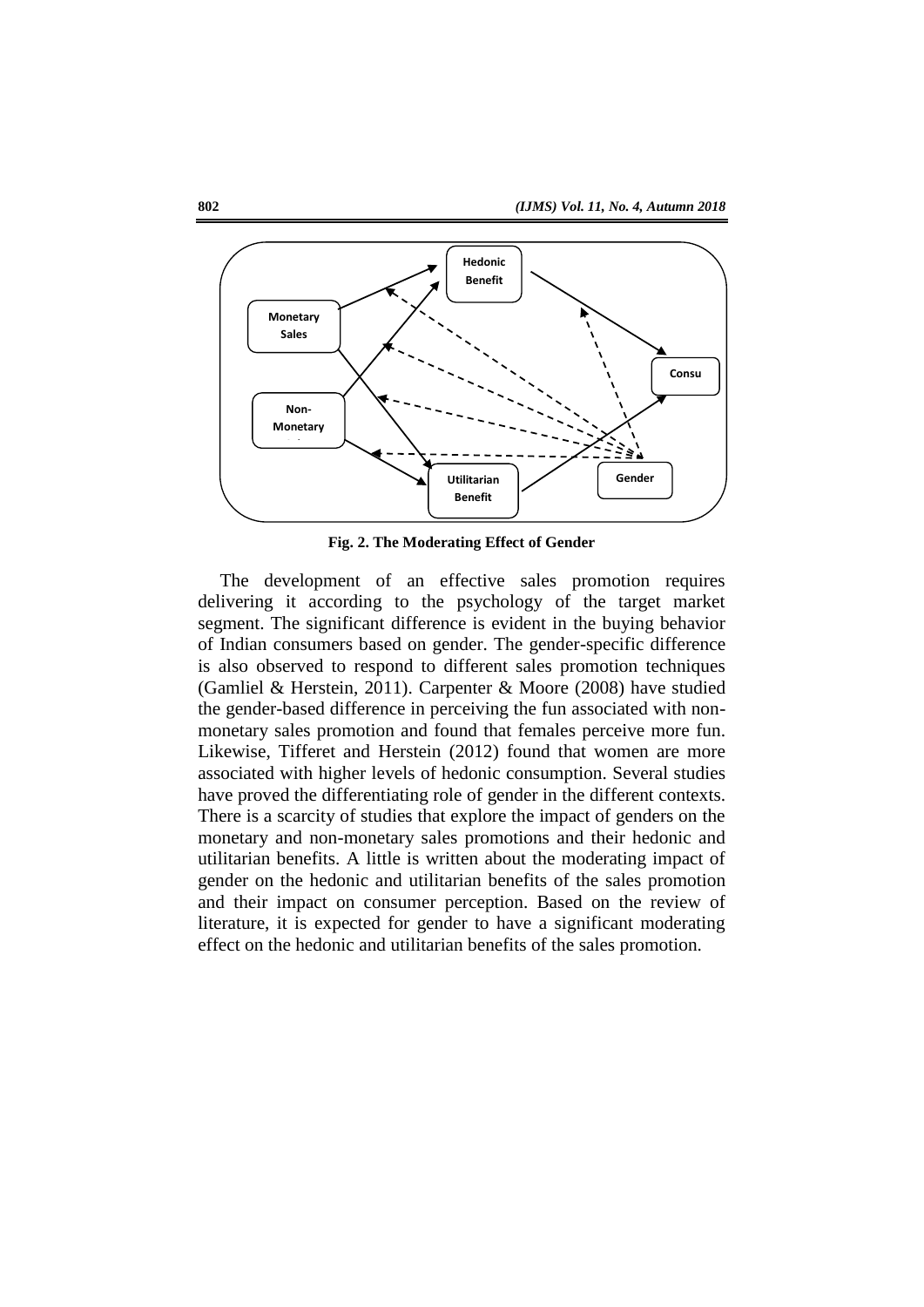

**Fig. 2. The Moderating Effect of Gender**

The development of an effective sales promotion requires delivering it according to the psychology of the target market segment. The significant difference is evident in the buying behavior of Indian consumers based on gender. The gender-specific difference is also observed to respond to different sales promotion techniques (Gamliel & Herstein, 2011). Carpenter & Moore (2008) have studied the gender-based difference in perceiving the fun associated with nonmonetary sales promotion and found that females perceive more fun. Likewise, Tifferet and Herstein (2012) found that women are more associated with higher levels of hedonic consumption. Several studies have proved the differentiating role of gender in the different contexts. There is a scarcity of studies that explore the impact of genders on the monetary and non-monetary sales promotions and their hedonic and utilitarian benefits. A little is written about the moderating impact of gender on the hedonic and utilitarian benefits of the sales promotion and their impact on consumer perception. Based on the review of literature, it is expected for gender to have a significant moderating effect on the hedonic and utilitarian benefits of the sales promotion.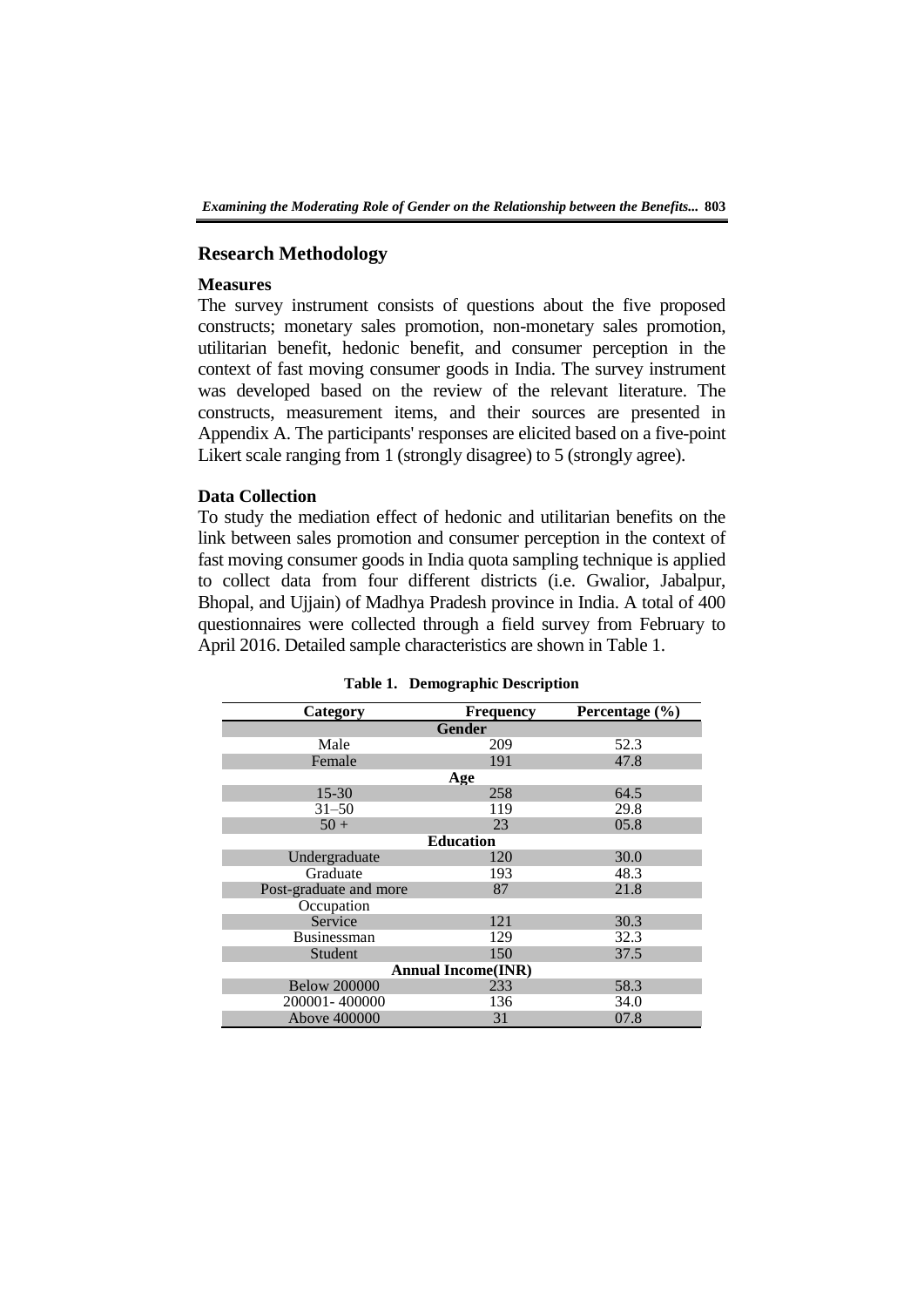# **Research Methodology**

# **Measures**

The survey instrument consists of questions about the five proposed constructs; monetary sales promotion, non-monetary sales promotion, utilitarian benefit, hedonic benefit, and consumer perception in the context of fast moving consumer goods in India. The survey instrument was developed based on the review of the relevant literature. The constructs, measurement items, and their sources are presented in Appendix A. The participants' responses are elicited based on a five-point Likert scale ranging from 1 (strongly disagree) to 5 (strongly agree).

# **Data Collection**

To study the mediation effect of hedonic and utilitarian benefits on the link between sales promotion and consumer perception in the context of fast moving consumer goods in India quota sampling technique is applied to collect data from four different districts (i.e. Gwalior, Jabalpur, Bhopal, and Ujjain) of Madhya Pradesh province in India. A total of 400 questionnaires were collected through a field survey from February to April 2016. Detailed sample characteristics are shown in Table 1.

| Category                  | <b>Frequency</b> | Percentage $(\% )$ |  |  |  |  |  |  |  |
|---------------------------|------------------|--------------------|--|--|--|--|--|--|--|
| <b>Gender</b>             |                  |                    |  |  |  |  |  |  |  |
| Male                      | 209              | 52.3               |  |  |  |  |  |  |  |
| Female                    | 191              | 47.8               |  |  |  |  |  |  |  |
|                           | Age              |                    |  |  |  |  |  |  |  |
| $15 - 30$                 | 258              | 64.5               |  |  |  |  |  |  |  |
| $31 - 50$                 | 119              | 29.8               |  |  |  |  |  |  |  |
| $50 +$                    | 23               | 05.8               |  |  |  |  |  |  |  |
| <b>Education</b>          |                  |                    |  |  |  |  |  |  |  |
| Undergraduate             | 120              | 30.0               |  |  |  |  |  |  |  |
| Graduate                  | 193              | 48.3               |  |  |  |  |  |  |  |
| Post-graduate and more    | 87               | 21.8               |  |  |  |  |  |  |  |
| Occupation                |                  |                    |  |  |  |  |  |  |  |
| Service                   | 121              | 30.3               |  |  |  |  |  |  |  |
| <b>Businessman</b>        | 129              | 32.3               |  |  |  |  |  |  |  |
| Student                   | 150              | 37.5               |  |  |  |  |  |  |  |
| <b>Annual Income(INR)</b> |                  |                    |  |  |  |  |  |  |  |
| <b>Below 200000</b>       | 233              | 58.3               |  |  |  |  |  |  |  |
| 200001-400000             | 136              | 34.0               |  |  |  |  |  |  |  |
| Above 400000              | 31               | 07.8               |  |  |  |  |  |  |  |

**Table 1. Demographic Description**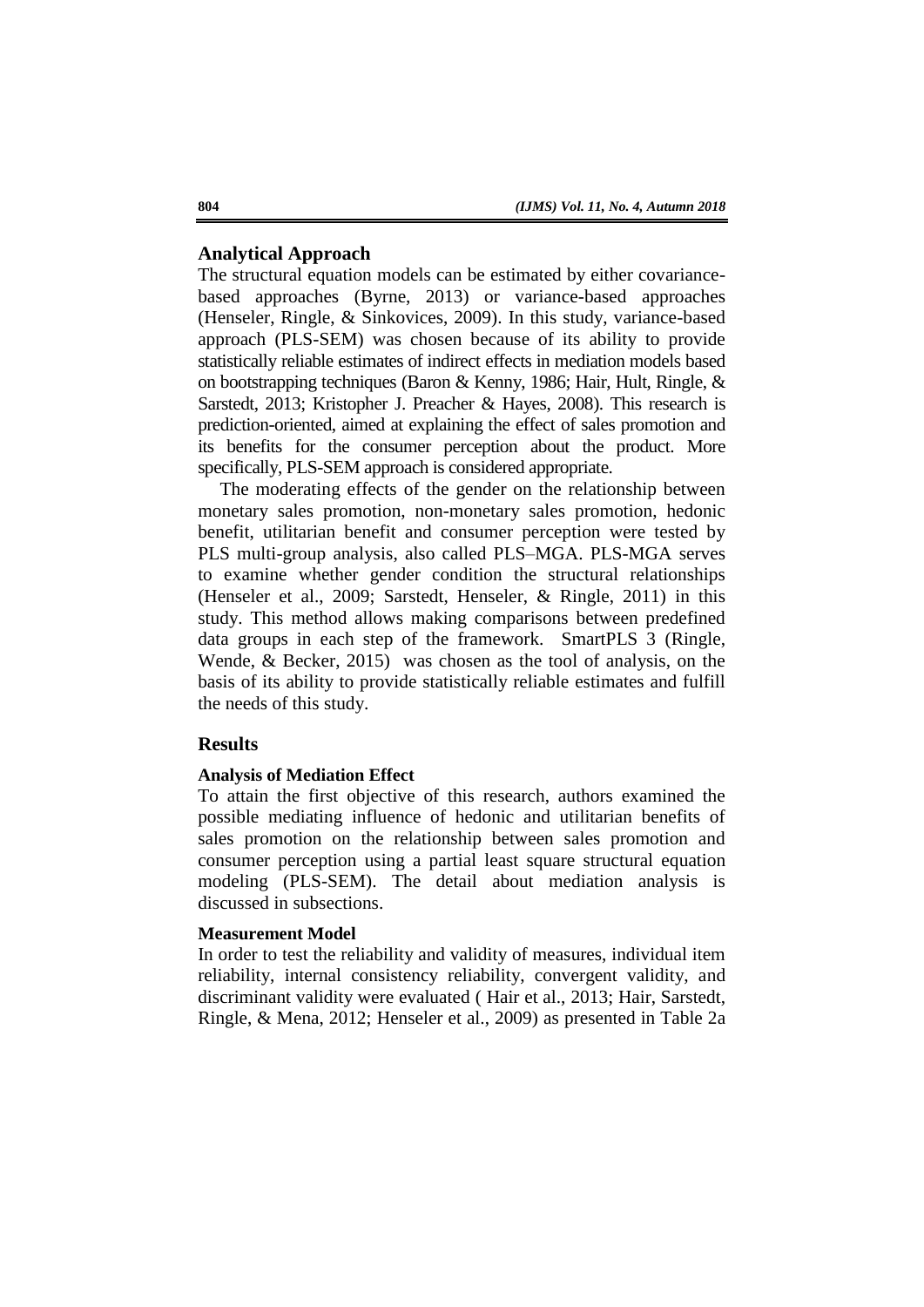# **Analytical Approach**

The structural equation models can be estimated by either covariancebased approaches (Byrne, 2013) or variance-based approaches (Henseler, Ringle, & Sinkovices, 2009). In this study, variance-based approach (PLS-SEM) was chosen because of its ability to provide statistically reliable estimates of indirect effects in mediation models based on bootstrapping techniques (Baron & Kenny, 1986; Hair, Hult, Ringle, & Sarstedt, 2013; Kristopher J. Preacher & Hayes, 2008). This research is prediction-oriented, aimed at explaining the effect of sales promotion and its benefits for the consumer perception about the product. More specifically, PLS-SEM approach is considered appropriate.

The moderating effects of the gender on the relationship between monetary sales promotion, non-monetary sales promotion, hedonic benefit, utilitarian benefit and consumer perception were tested by PLS multi-group analysis, also called PLS–MGA. PLS-MGA serves to examine whether gender condition the structural relationships (Henseler et al., 2009; Sarstedt, Henseler, & Ringle, 2011) in this study. This method allows making comparisons between predefined data groups in each step of the framework. SmartPLS 3 (Ringle, Wende, & Becker, 2015) was chosen as the tool of analysis, on the basis of its ability to provide statistically reliable estimates and fulfill the needs of this study.

# **Results**

#### **Analysis of Mediation Effect**

To attain the first objective of this research, authors examined the possible mediating influence of hedonic and utilitarian benefits of sales promotion on the relationship between sales promotion and consumer perception using a partial least square structural equation modeling (PLS-SEM). The detail about mediation analysis is discussed in subsections.

# **Measurement Model**

In order to test the reliability and validity of measures, individual item reliability, internal consistency reliability, convergent validity, and discriminant validity were evaluated ( Hair et al., 2013; Hair, Sarstedt, Ringle, & Mena, 2012; Henseler et al., 2009) as presented in Table 2a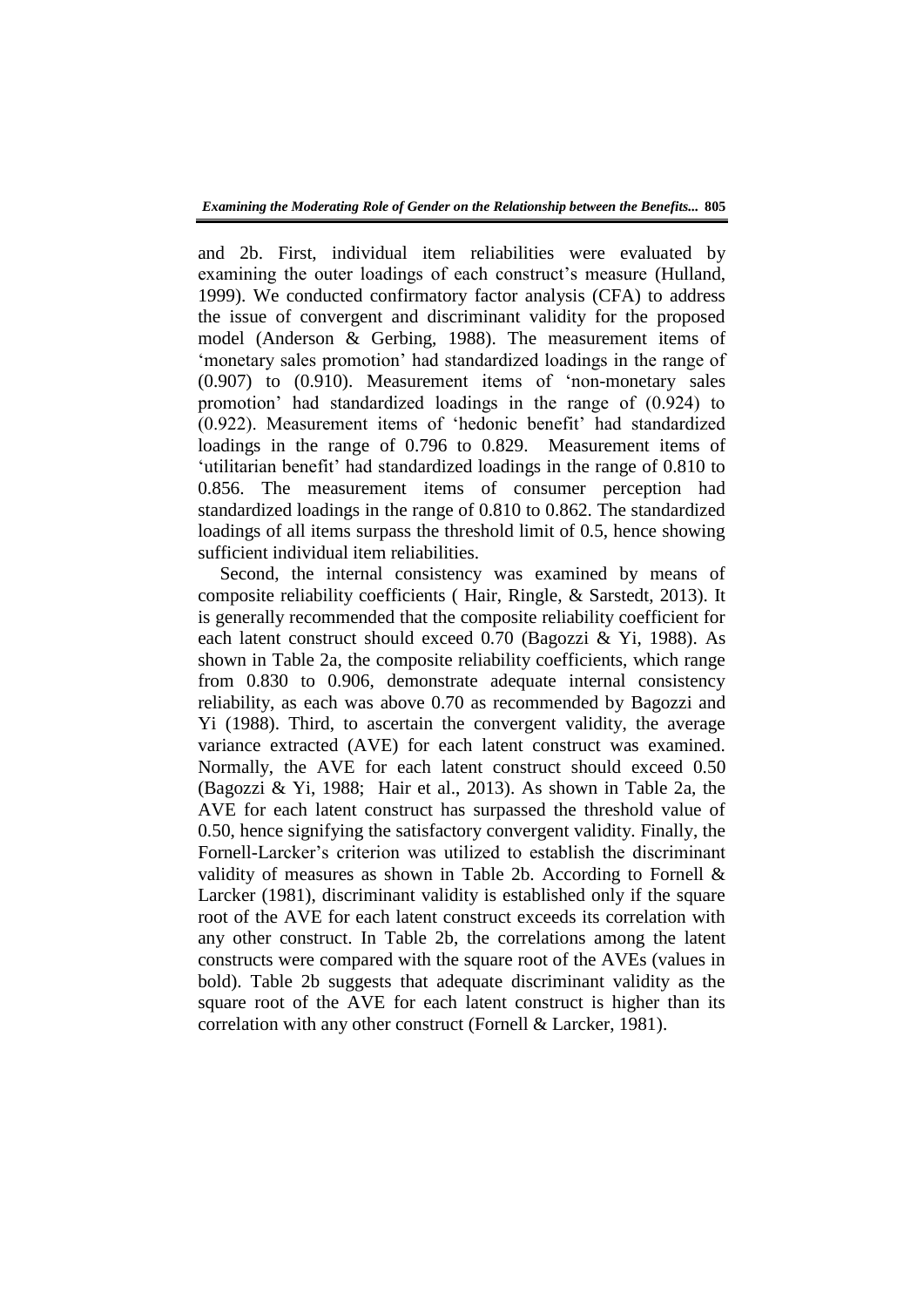and 2b. First, individual item reliabilities were evaluated by examining the outer loadings of each construct's measure (Hulland, 1999). We conducted confirmatory factor analysis (CFA) to address the issue of convergent and discriminant validity for the proposed model (Anderson & Gerbing, 1988). The measurement items of ‗monetary sales promotion' had standardized loadings in the range of  $(0.907)$  to  $(0.910)$ . Measurement items of 'non-monetary sales promotion' had standardized loadings in the range of (0.924) to (0.922). Measurement items of ‗hedonic benefit' had standardized loadings in the range of 0.796 to 0.829. Measurement items of ‗utilitarian benefit' had standardized loadings in the range of 0.810 to 0.856. The measurement items of consumer perception had standardized loadings in the range of 0.810 to 0.862. The standardized loadings of all items surpass the threshold limit of 0.5, hence showing sufficient individual item reliabilities.

Second, the internal consistency was examined by means of composite reliability coefficients ( Hair, Ringle, & Sarstedt, 2013). It is generally recommended that the composite reliability coefficient for each latent construct should exceed 0.70 (Bagozzi & Yi, 1988). As shown in Table 2a, the composite reliability coefficients, which range from 0.830 to 0.906, demonstrate adequate internal consistency reliability, as each was above 0.70 as recommended by Bagozzi and Yi (1988). Third, to ascertain the convergent validity, the average variance extracted (AVE) for each latent construct was examined. Normally, the AVE for each latent construct should exceed 0.50 (Bagozzi & Yi, 1988; Hair et al., 2013). As shown in Table 2a, the AVE for each latent construct has surpassed the threshold value of 0.50, hence signifying the satisfactory convergent validity. Finally, the Fornell-Larcker's criterion was utilized to establish the discriminant validity of measures as shown in Table 2b. According to Fornell & Larcker (1981), discriminant validity is established only if the square root of the AVE for each latent construct exceeds its correlation with any other construct. In Table 2b, the correlations among the latent constructs were compared with the square root of the AVEs (values in bold). Table 2b suggests that adequate discriminant validity as the square root of the AVE for each latent construct is higher than its correlation with any other construct (Fornell & Larcker, 1981).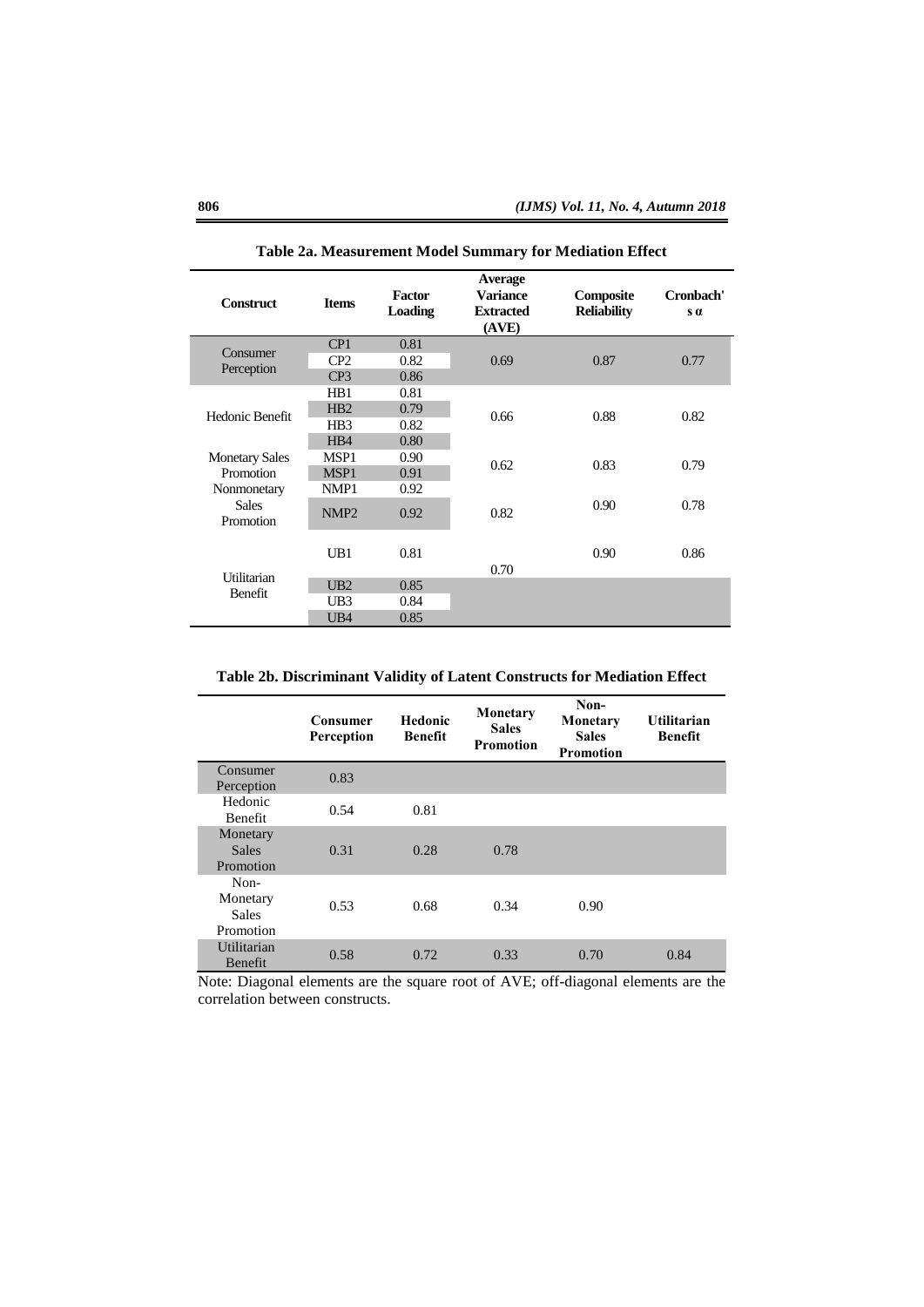| <b>Construct</b>          | <b>Items</b>     | Factor<br><b>Loading</b> | <b>Average</b><br><b>Variance</b><br><b>Extracted</b><br>(AVE) | Composite<br><b>Reliability</b> | Cronbach'<br>$s\alpha$ |  |
|---------------------------|------------------|--------------------------|----------------------------------------------------------------|---------------------------------|------------------------|--|
| Consumer                  | CP1              | 0.81                     |                                                                |                                 |                        |  |
|                           | CP <sub>2</sub>  | 0.82                     | 0.69                                                           | 0.87                            | 0.77                   |  |
| Perception                | CP <sub>3</sub>  | 0.86                     |                                                                |                                 |                        |  |
| Hedonic Benefit           | H <sub>B</sub> 1 | 0.81                     |                                                                |                                 |                        |  |
|                           | HB2              | 0.79                     | 0.66                                                           | 0.88                            | 0.82                   |  |
|                           | H <sub>B</sub> 3 | 0.82                     |                                                                |                                 |                        |  |
|                           | H <sub>B4</sub>  | 0.80                     |                                                                |                                 |                        |  |
| <b>Monetary Sales</b>     | MSP1             | 0.90                     | 0.62                                                           | 0.83                            | 0.79                   |  |
| Promotion                 | MSP1             | 0.91                     |                                                                |                                 |                        |  |
| Nonmonetary               | NMP1             | 0.92                     |                                                                |                                 |                        |  |
| <b>Sales</b><br>Promotion | NMP <sub>2</sub> | 0.92                     | 0.82                                                           | 0.90                            | 0.78                   |  |
|                           | UB1              | 0.81                     | 0.70                                                           | 0.90                            | 0.86                   |  |
| Utilitarian               | UB2              | 0.85                     |                                                                |                                 |                        |  |
| <b>Benefit</b>            | UB3              | 0.84                     |                                                                |                                 |                        |  |
|                           | UB <sub>4</sub>  | 0.85                     |                                                                |                                 |                        |  |

**Table 2a. Measurement Model Summary for Mediation Effect**

**Table 2b. Discriminant Validity of Latent Constructs for Mediation Effect**

|                                               | Consumer<br>Perception | <b>Hedonic</b><br><b>Benefit</b> | Monetary<br><b>Sales</b><br><b>Promotion</b> | Non-<br>Monetary<br><b>Sales</b><br><b>Promotion</b> | <b>Utilitarian</b><br><b>Benefit</b> |
|-----------------------------------------------|------------------------|----------------------------------|----------------------------------------------|------------------------------------------------------|--------------------------------------|
| Consumer<br>Perception                        | 0.83                   |                                  |                                              |                                                      |                                      |
| Hedonic<br><b>Benefit</b>                     | 0.54                   | 0.81                             |                                              |                                                      |                                      |
| Monetary<br><b>Sales</b><br>Promotion         | 0.31                   | 0.28                             | 0.78                                         |                                                      |                                      |
| Non-<br>Monetary<br><b>Sales</b><br>Promotion | 0.53                   | 0.68                             | 0.34                                         | 0.90                                                 |                                      |
| Utilitarian<br>Benefit                        | 0.58                   | 0.72                             | 0.33                                         | 0.70                                                 | 0.84                                 |

Note: Diagonal elements are the square root of AVE; off-diagonal elements are the correlation between constructs.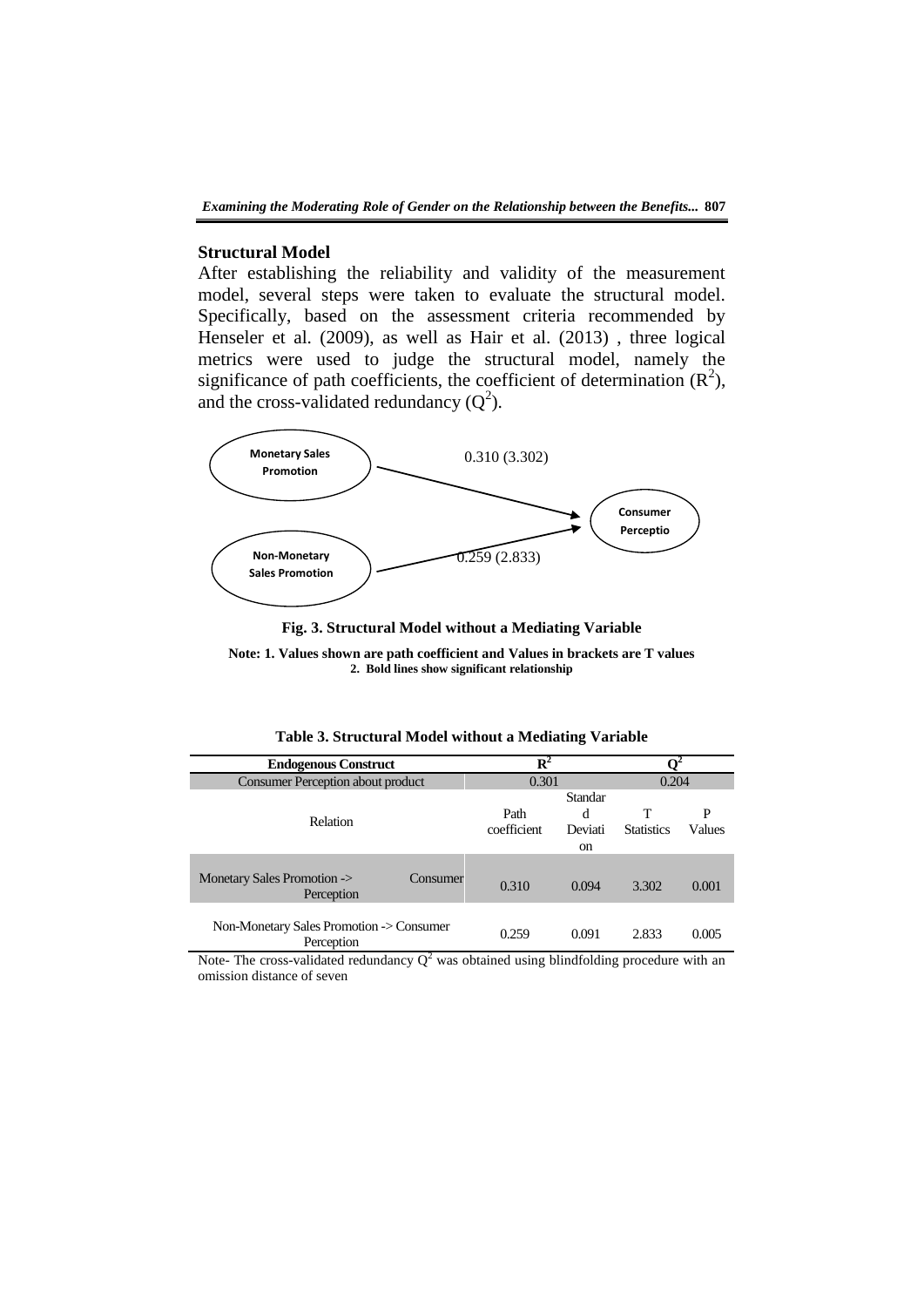# **Structural Model**

After establishing the reliability and validity of the measurement model, several steps were taken to evaluate the structural model. Specifically, based on the assessment criteria recommended by Henseler et al. (2009), as well as Hair et al. (2013) , three logical metrics were used to judge the structural model, namely the significance of path coefficients, the coefficient of determination  $(R^2)$ , and the cross-validated redundancy  $(Q^2)$ .



**Fig. 3. Structural Model without a Mediating Variable**

**Note: 1. Values shown are path coefficient and Values in brackets are T values 2. Bold lines show significant relationship**

| <b>Endogenous Construct</b>                            | $\overline{\mathbf{R}^2}$ |                               |                        |             |  |
|--------------------------------------------------------|---------------------------|-------------------------------|------------------------|-------------|--|
| <b>Consumer Perception about product</b>               | 0.301                     |                               | 0.204                  |             |  |
| <b>Relation</b>                                        | Path<br>coefficient       | Standar<br>d<br>Deviati<br>on | т<br><b>Statistics</b> | P<br>Values |  |
| Monetary Sales Promotion -><br>Consumer<br>Perception  | 0.310                     | 0.094                         | 3.302                  | 0.001       |  |
| Non-Monetary Sales Promotion -> Consumer<br>Perception | 0.259                     | 0.091                         | 2.833                  | 0.005       |  |

 $\frac{\text{Perception}}{\text{Note-} \text{ The cross-validated redundancy } Q^2 \text{ was obtained using blindfolding procedure with an...}$ omission distance of seven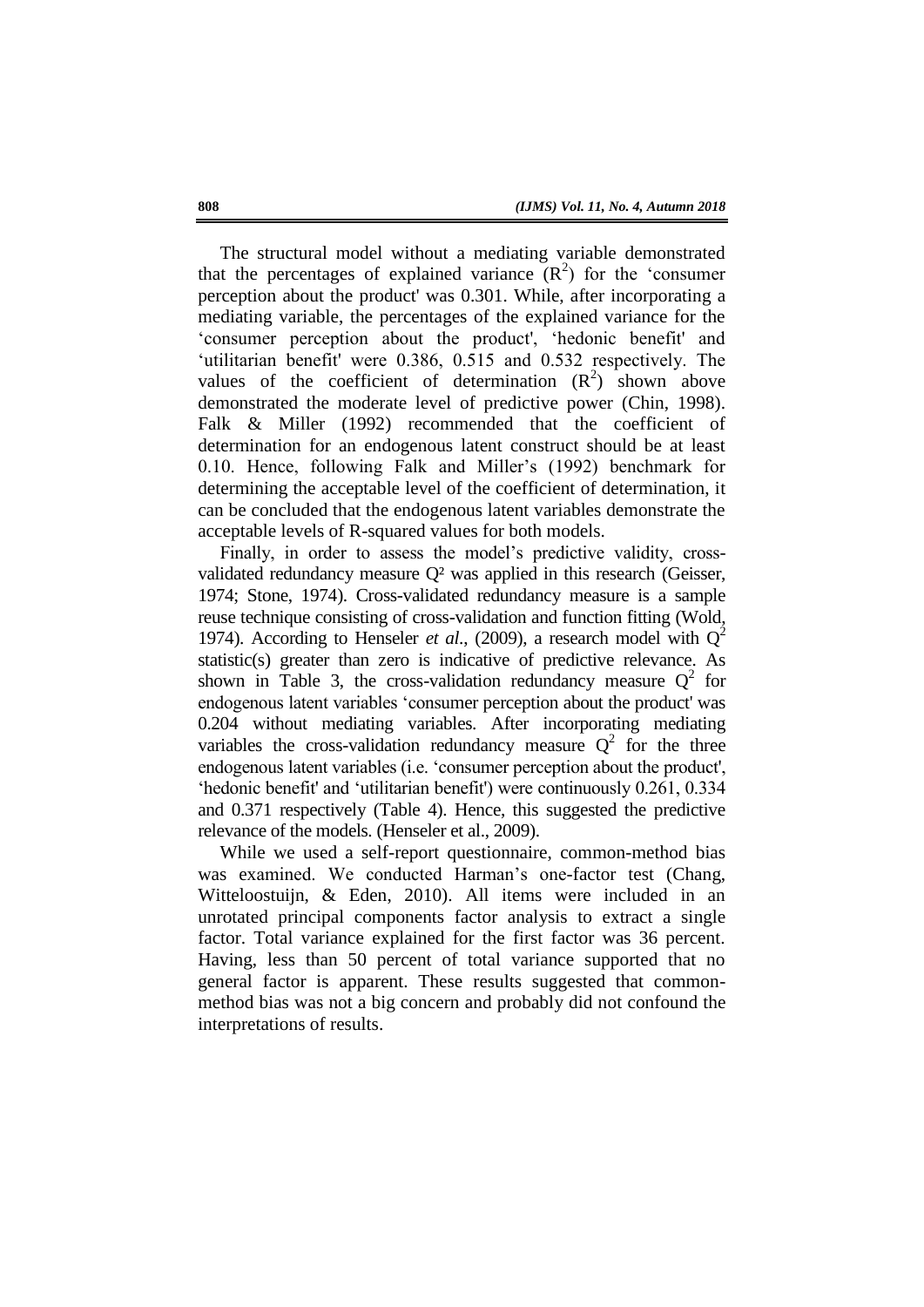The structural model without a mediating variable demonstrated that the percentages of explained variance  $(R^2)$  for the 'consumer perception about the product' was 0.301. While, after incorporating a mediating variable, the percentages of the explained variance for the 'consumer perception about the product', 'hedonic benefit' and ‗utilitarian benefit were 0.386, 0.515 and 0.532 respectively. The values of the coefficient of determination  $(R^2)$  shown above demonstrated the moderate level of predictive power (Chin, 1998). Falk & Miller (1992) recommended that the coefficient of determination for an endogenous latent construct should be at least 0.10. Hence, following Falk and Miller's (1992) benchmark for determining the acceptable level of the coefficient of determination, it can be concluded that the endogenous latent variables demonstrate the acceptable levels of R-squared values for both models.

Finally, in order to assess the model's predictive validity, crossvalidated redundancy measure Q² was applied in this research (Geisser, 1974; Stone, 1974). Cross-validated redundancy measure is a sample reuse technique consisting of cross-validation and function fitting (Wold, 1974). According to Henseler *et al.*, (2009), a research model with  $Q^2$ statistic(s) greater than zero is indicative of predictive relevance. As shown in Table 3, the cross-validation redundancy measure  $Q^2$  for endogenous latent variables 'consumer perception about the product' was 0.204 without mediating variables. After incorporating mediating variables the cross-validation redundancy measure  $Q^2$  for the three endogenous latent variables (i.e. 'consumer perception about the product', 'hedonic benefit' and 'utilitarian benefit') were continuously 0.261, 0.334 and 0.371 respectively (Table 4). Hence, this suggested the predictive relevance of the models. (Henseler et al., 2009).

While we used a self-report questionnaire, common-method bias was examined. We conducted Harman's one-factor test (Chang, Witteloostuijn, & Eden, 2010). All items were included in an unrotated principal components factor analysis to extract a single factor. Total variance explained for the first factor was 36 percent. Having, less than 50 percent of total variance supported that no general factor is apparent. These results suggested that commonmethod bias was not a big concern and probably did not confound the interpretations of results.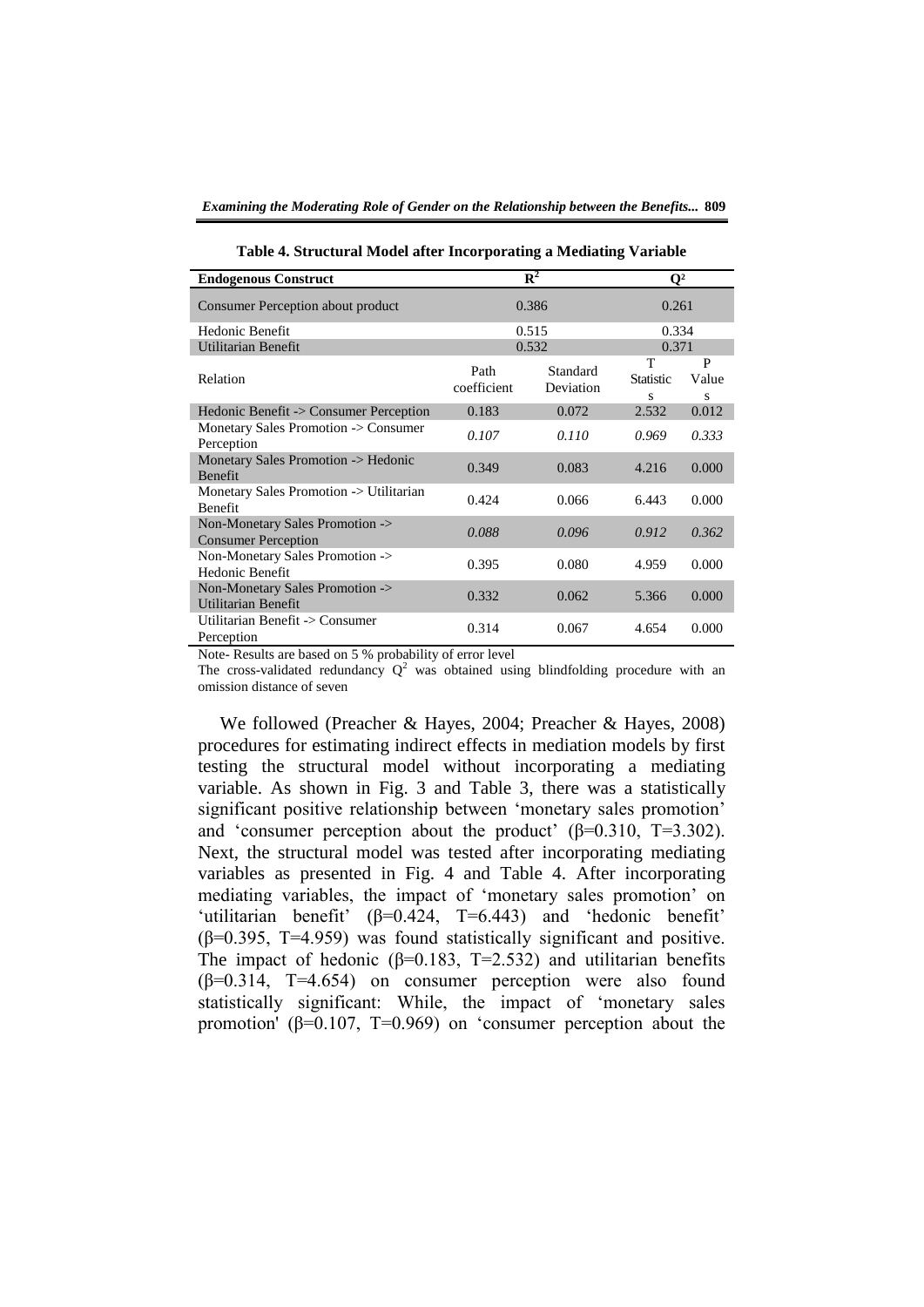| <b>Endogenous Construct</b>                                   |                     | $\overline{\mathbf{R}^2}$ | $\mathbf{O}^2$             |                 |  |  |
|---------------------------------------------------------------|---------------------|---------------------------|----------------------------|-----------------|--|--|
| Consumer Perception about product                             |                     | 0.386                     | 0.261                      |                 |  |  |
| <b>Hedonic Benefit</b>                                        |                     | 0.515                     | 0.334                      |                 |  |  |
| Utilitarian Benefit                                           |                     | 0.532                     | 0.371                      |                 |  |  |
| Relation                                                      | Path<br>coefficient | Standard<br>Deviation     | T<br><b>Statistic</b><br>s | P<br>Value<br>S |  |  |
| Hedonic Benefit -> Consumer Perception                        | 0.183               | 0.072                     | 2.532                      | 0.012           |  |  |
| Monetary Sales Promotion -> Consumer<br>Perception            | 0.107               | 0.110                     | 0.969                      | 0.333           |  |  |
| Monetary Sales Promotion -> Hedonic<br><b>Benefit</b>         | 0.349               | 0.083                     | 4.216                      | 0.000           |  |  |
| Monetary Sales Promotion -> Utilitarian<br><b>Benefit</b>     | 0.424               | 0.066                     | 6.443                      | 0.000           |  |  |
| Non-Monetary Sales Promotion -><br><b>Consumer Perception</b> | 0.088               | 0.096                     | 0.912                      | 0.362           |  |  |
| Non-Monetary Sales Promotion -><br>Hedonic Benefit            | 0.395               | 0.080                     | 4.959                      | 0.000           |  |  |
| Non-Monetary Sales Promotion -><br><b>Utilitarian Benefit</b> | 0.332               | 0.062                     | 5.366                      | 0.000           |  |  |
| Utilitarian Benefit -> Consumer<br>Perception                 | 0.314               | 0.067                     | 4.654                      | 0.000           |  |  |

**Table 4. Structural Model after Incorporating a Mediating Variable**

Note- Results are based on 5 % probability of error level

The cross-validated redundancy  $Q^2$  was obtained using blindfolding procedure with an omission distance of seven

We followed (Preacher & Hayes, 2004; Preacher & Hayes, 2008) procedures for estimating indirect effects in mediation models by first testing the structural model without incorporating a mediating variable. As shown in Fig. 3 and Table 3, there was a statistically significant positive relationship between 'monetary sales promotion' and 'consumer perception about the product'  $(\beta=0.310, T=3.302)$ . Next, the structural model was tested after incorporating mediating variables as presented in Fig. 4 and Table 4. After incorporating mediating variables, the impact of 'monetary sales promotion' on 'utilitarian benefit'  $(β=0.424, T=6.443)$  and 'hedonic benefit' (β=0.395, T=4.959) was found statistically significant and positive. The impact of hedonic ( $\beta$ =0.183, T=2.532) and utilitarian benefits  $(\beta=0.314, T=4.654)$  on consumer perception were also found statistically significant: While, the impact of 'monetary sales promotion ( $\beta$ =0.107, T=0.969) on 'consumer perception about the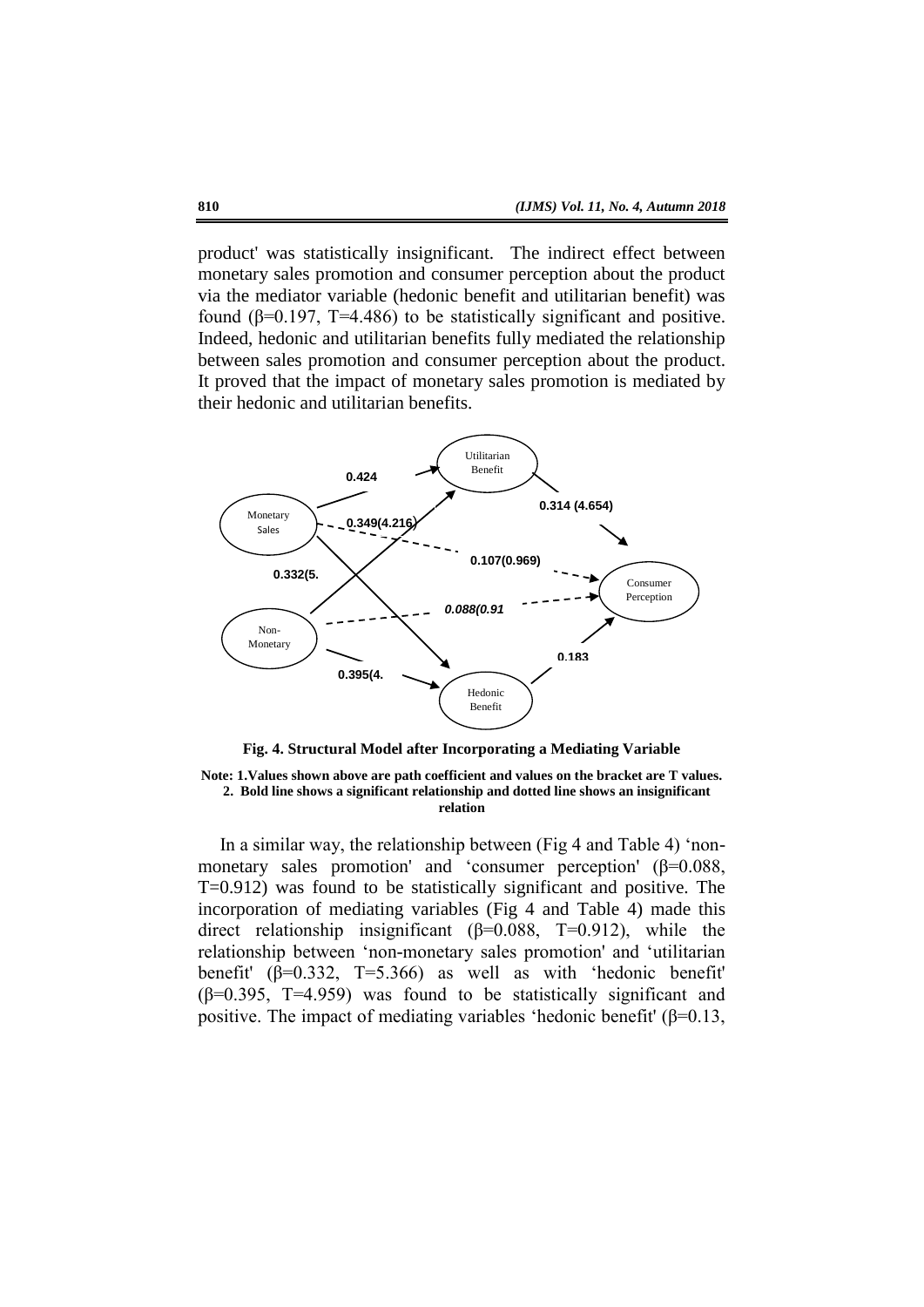product' was statistically insignificant. The indirect effect between monetary sales promotion and consumer perception about the product via the mediator variable (hedonic benefit and utilitarian benefit) was found (β=0.197, T=4.486) to be statistically significant and positive. Indeed, hedonic and utilitarian benefits fully mediated the relationship between sales promotion and consumer perception about the product. It proved that the impact of monetary sales promotion is mediated by their hedonic and utilitarian benefits.



**Fig. 4. Structural Model after Incorporating a Mediating Variable**

**Note: 1.Values shown above are path coefficient and values on the bracket are T values. 2. Bold line shows a significant relationship and dotted line shows an insignificant relation** 

In a similar way, the relationship between (Fig 4 and Table 4) 'nonmonetary sales promotion' and 'consumer perception'  $(\beta=0.088,$ T=0.912) was found to be statistically significant and positive. The incorporation of mediating variables (Fig 4 and Table 4) made this direct relationship insignificant  $(\beta=0.088, T=0.912)$ , while the relationship between 'non-monetary sales promotion' and 'utilitarian benefit'  $(\beta=0.332, T=5.366)$  as well as with 'hedonic benefit'  $(\beta=0.395, T=4.959)$  was found to be statistically significant and positive. The impact of mediating variables 'hedonic benefit' ( $\beta$ =0.13,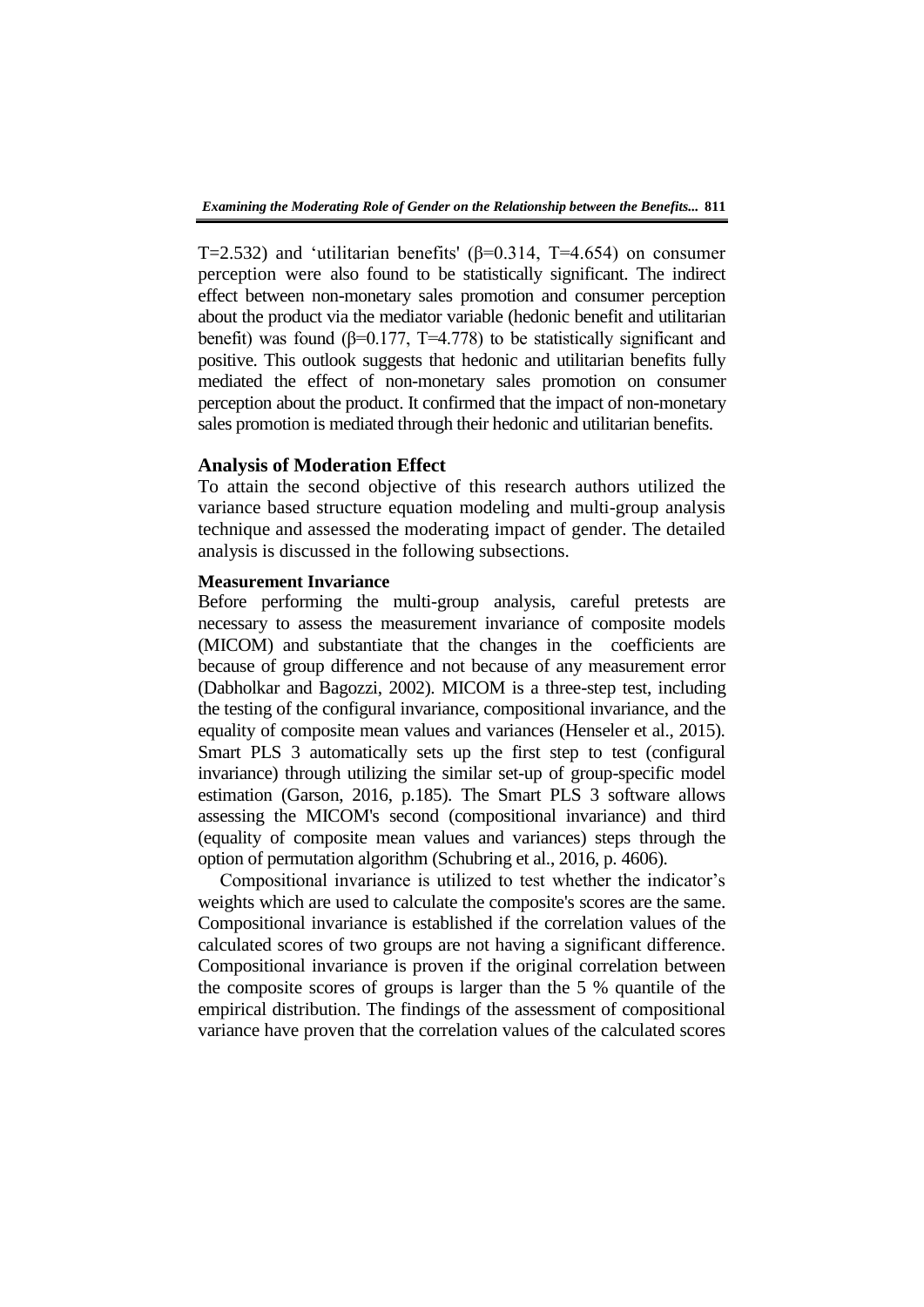T=2.532) and 'utilitarian benefits' ( $\beta$ =0.314, T=4.654) on consumer perception were also found to be statistically significant. The indirect effect between non-monetary sales promotion and consumer perception about the product via the mediator variable (hedonic benefit and utilitarian benefit) was found ( $\beta$ =0.177, T=4.778) to be statistically significant and positive. This outlook suggests that hedonic and utilitarian benefits fully mediated the effect of non-monetary sales promotion on consumer perception about the product. It confirmed that the impact of non-monetary sales promotion is mediated through their hedonic and utilitarian benefits.

# **Analysis of Moderation Effect**

To attain the second objective of this research authors utilized the variance based structure equation modeling and multi-group analysis technique and assessed the moderating impact of gender. The detailed analysis is discussed in the following subsections.

## **Measurement Invariance**

Before performing the multi-group analysis, careful pretests are necessary to assess the measurement invariance of composite models (MICOM) and substantiate that the changes in the coefficients are because of group difference and not because of any measurement error (Dabholkar and Bagozzi, 2002). MICOM is a three-step test, including the testing of the configural invariance, compositional invariance, and the equality of composite mean values and variances (Henseler et al., 2015). Smart PLS 3 automatically sets up the first step to test (configural invariance) through utilizing the similar set-up of group-specific model estimation (Garson, 2016, p.185). The Smart PLS 3 software allows assessing the MICOM's second (compositional invariance) and third (equality of composite mean values and variances) steps through the option of permutation algorithm (Schubring et al., 2016, p. 4606).

Compositional invariance is utilized to test whether the indicator's weights which are used to calculate the composite's scores are the same. Compositional invariance is established if the correlation values of the calculated scores of two groups are not having a significant difference. Compositional invariance is proven if the original correlation between the composite scores of groups is larger than the 5 % quantile of the empirical distribution. The findings of the assessment of compositional variance have proven that the correlation values of the calculated scores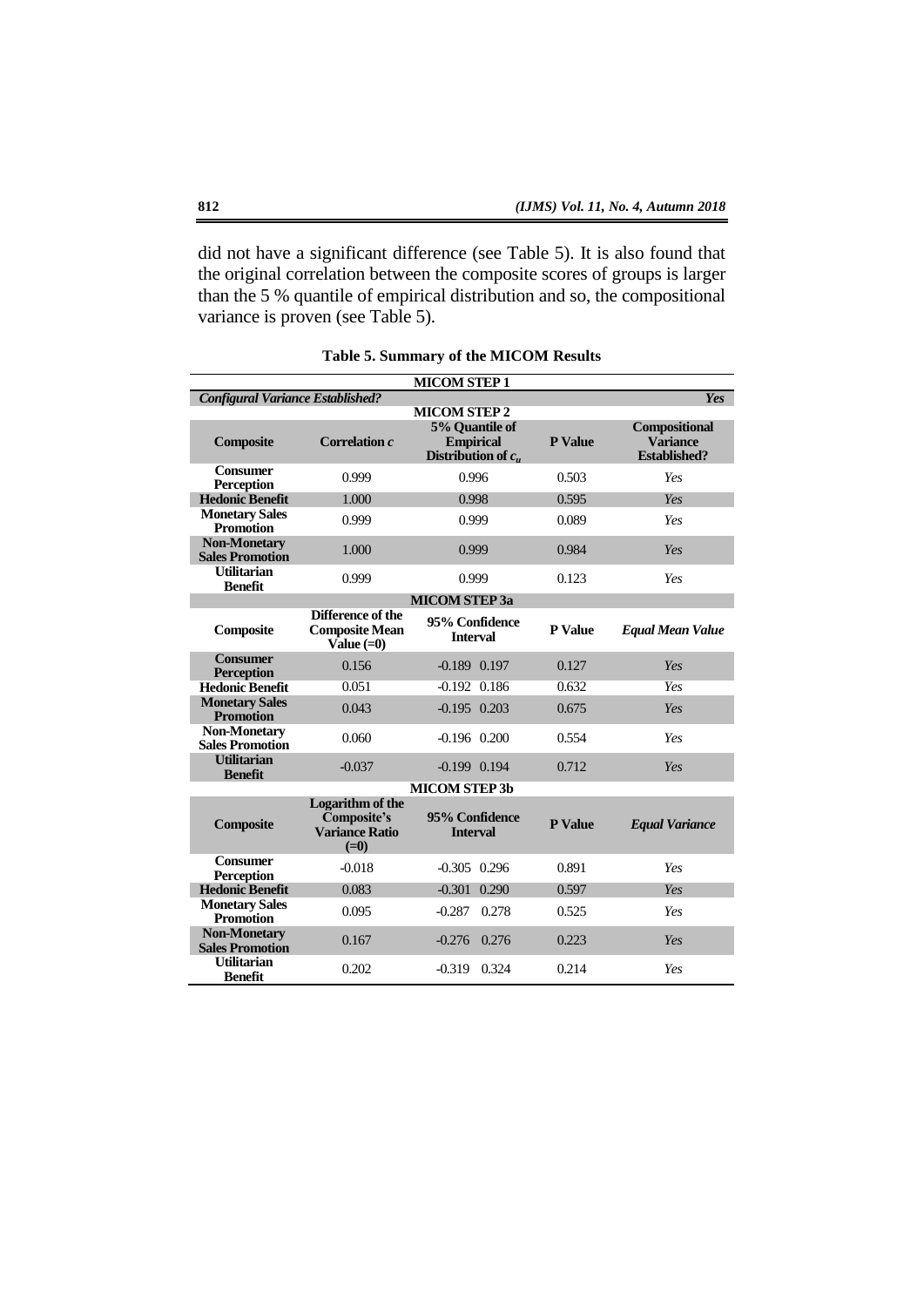did not have a significant difference (see Table 5). It is also found that the original correlation between the composite scores of groups is larger than the 5 % quantile of empirical distribution and so, the compositional variance is proven (see Table 5).

|                                               |                                                                    | <b>MICOM STEP 1</b>                                         |                |                                                         |
|-----------------------------------------------|--------------------------------------------------------------------|-------------------------------------------------------------|----------------|---------------------------------------------------------|
| <b>Configural Variance Established?</b>       |                                                                    |                                                             |                | Yes                                                     |
|                                               |                                                                    | <b>MICOM STEP 2</b>                                         |                |                                                         |
| <b>Composite</b>                              | Correlation c                                                      | 5% Quantile of<br><b>Empirical</b><br>Distribution of $c_u$ | <b>P</b> Value | Compositional<br><b>Variance</b><br><b>Established?</b> |
| <b>Consumer</b><br><b>Perception</b>          | 0.999                                                              | 0.996                                                       | 0.503          | Yes                                                     |
| <b>Hedonic Benefit</b>                        | 1.000                                                              | 0.998                                                       | 0.595          | Yes                                                     |
| <b>Monetary Sales</b><br><b>Promotion</b>     | 0.999                                                              | 0.999                                                       | 0.089          | Yes                                                     |
| <b>Non-Monetary</b><br><b>Sales Promotion</b> | 1.000                                                              | 0.999                                                       | 0.984          | Yes                                                     |
| <b>Utilitarian</b><br><b>Benefit</b>          | 0.999                                                              | 0.999                                                       | 0.123          | Yes                                                     |
|                                               |                                                                    | <b>MICOM STEP 3a</b>                                        |                |                                                         |
| Composite                                     | Difference of the<br><b>Composite Mean</b><br>Value $(=0)$         | 95% Confidence<br><b>Interval</b>                           | <b>P</b> Value | <b>Equal Mean Value</b>                                 |
| <b>Consumer</b><br><b>Perception</b>          | 0.156                                                              | $-0.189$ $0.197$                                            | 0.127          | Yes                                                     |
| <b>Hedonic Benefit</b>                        | 0.051                                                              | $-0.192$ $0.186$                                            | 0.632          | <b>Yes</b>                                              |
| <b>Monetary Sales</b><br><b>Promotion</b>     | 0.043                                                              | $-0.195$ 0.203                                              | 0.675          | Yes                                                     |
| <b>Non-Monetary</b><br><b>Sales Promotion</b> | 0.060                                                              | $-0.196$ $0.200$                                            | 0.554          | Yes                                                     |
| <b>Utilitarian</b><br><b>Benefit</b>          | $-0.037$                                                           | $-0.199$ $0.194$                                            | 0.712          | Yes                                                     |
|                                               |                                                                    | <b>MICOM STEP 3b</b>                                        |                |                                                         |
| Composite                                     | Logarithm of the<br>Composite's<br><b>Variance Ratio</b><br>$(=0)$ | 95% Confidence<br><b>Interval</b>                           | P Value        | <b>Equal Variance</b>                                   |
| <b>Consumer</b><br><b>Perception</b>          | $-0.018$                                                           | $-0.305$ 0.296                                              | 0.891          | Yes                                                     |
| <b>Hedonic Benefit</b>                        | 0.083                                                              | $-0.301$<br>0.290                                           | 0.597          | Yes                                                     |
| <b>Monetary Sales</b><br><b>Promotion</b>     | 0.095                                                              | $-0.287$<br>0.278                                           | 0.525          | Yes                                                     |
| <b>Non-Monetary</b><br><b>Sales Promotion</b> | 0.167                                                              | $-0.276$ 0.276                                              | 0.223          | Yes                                                     |
| <b>Utilitarian</b><br><b>Benefit</b>          | 0.202                                                              | 0.324<br>$-0.319$                                           | 0.214          | Yes                                                     |

**Table 5. Summary of the MICOM Results**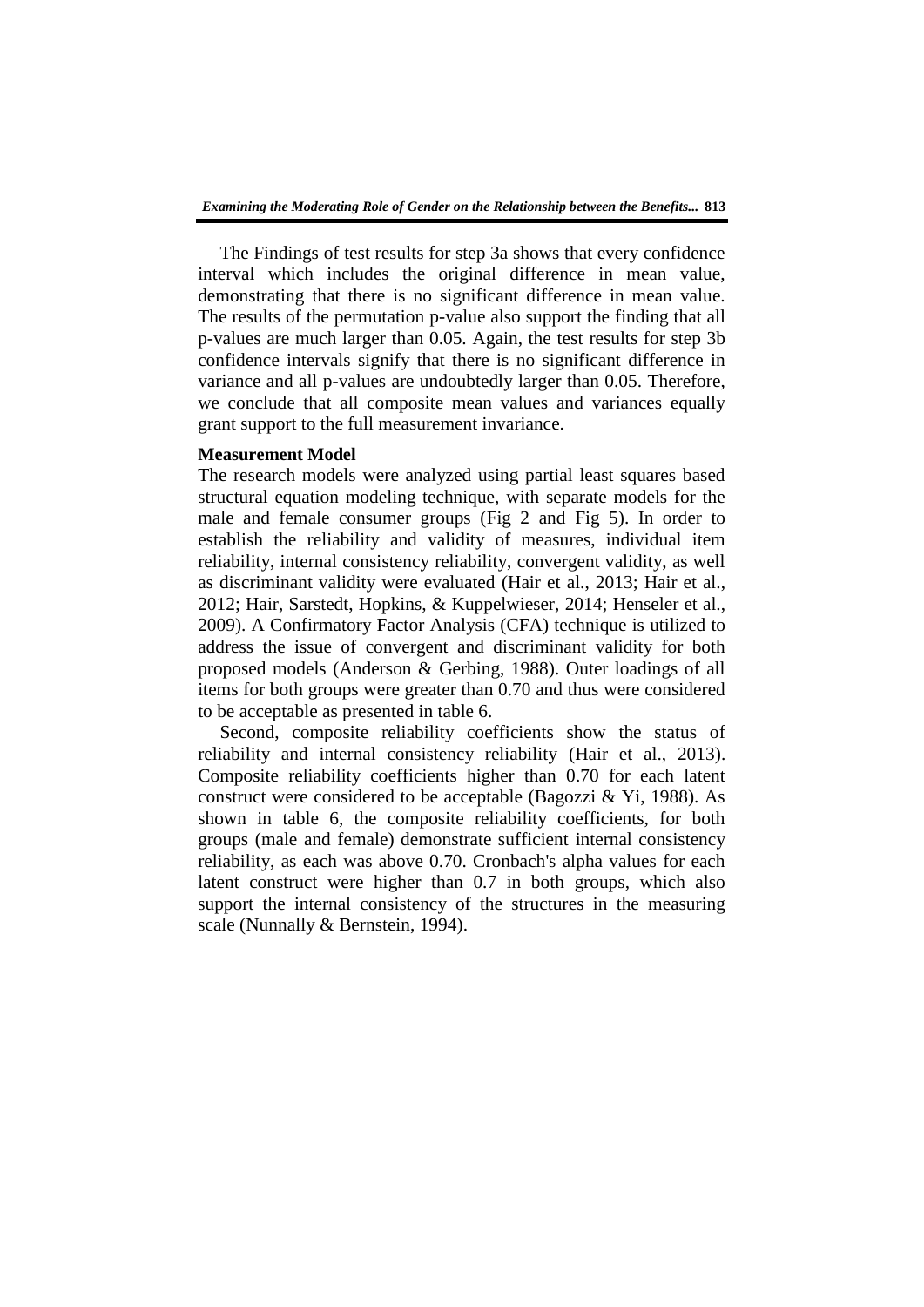The Findings of test results for step 3a shows that every confidence interval which includes the original difference in mean value, demonstrating that there is no significant difference in mean value. The results of the permutation p-value also support the finding that all p-values are much larger than 0.05. Again, the test results for step 3b confidence intervals signify that there is no significant difference in variance and all p-values are undoubtedly larger than 0.05. Therefore, we conclude that all composite mean values and variances equally grant support to the full measurement invariance.

### **Measurement Model**

The research models were analyzed using partial least squares based structural equation modeling technique, with separate models for the male and female consumer groups (Fig 2 and Fig 5). In order to establish the reliability and validity of measures, individual item reliability, internal consistency reliability, convergent validity, as well as discriminant validity were evaluated (Hair et al., 2013; Hair et al., 2012; Hair, Sarstedt, Hopkins, & Kuppelwieser, 2014; Henseler et al., 2009). A Confirmatory Factor Analysis (CFA) technique is utilized to address the issue of convergent and discriminant validity for both proposed models (Anderson & Gerbing, 1988). Outer loadings of all items for both groups were greater than 0.70 and thus were considered to be acceptable as presented in table 6.

Second, composite reliability coefficients show the status of reliability and internal consistency reliability (Hair et al., 2013). Composite reliability coefficients higher than 0.70 for each latent construct were considered to be acceptable (Bagozzi & Yi, 1988). As shown in table 6, the composite reliability coefficients, for both groups (male and female) demonstrate sufficient internal consistency reliability, as each was above 0.70. Cronbach's alpha values for each latent construct were higher than 0.7 in both groups, which also support the internal consistency of the structures in the measuring scale (Nunnally & Bernstein, 1994).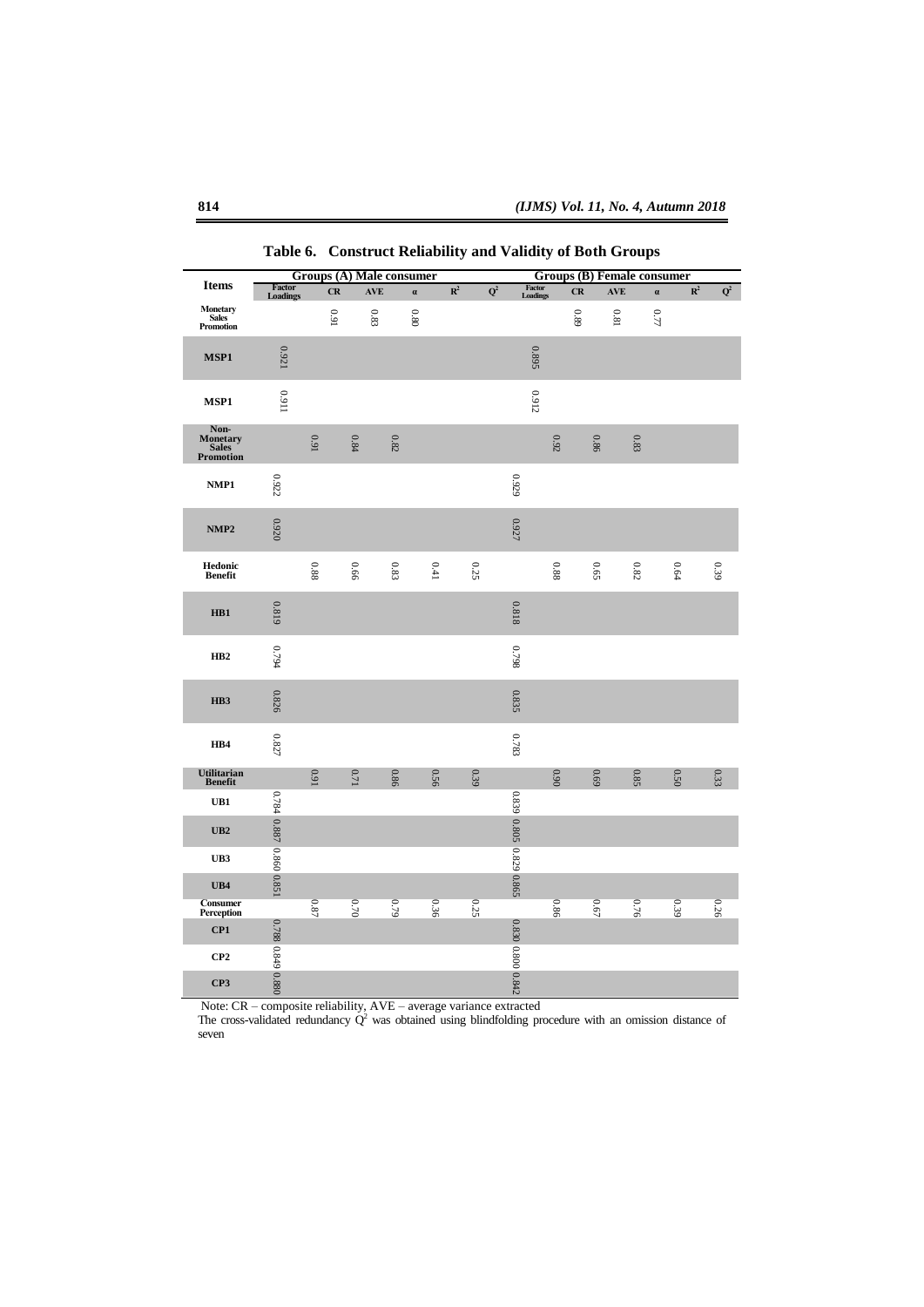|                                        | <b>Groups (A) Male consumer</b> |          |          |          | <b>Groups (B) Female consumer</b> |                |                  |                         |          |      |            |          |                |                           |
|----------------------------------------|---------------------------------|----------|----------|----------|-----------------------------------|----------------|------------------|-------------------------|----------|------|------------|----------|----------------|---------------------------|
| <b>Items</b>                           | Factor<br>Loadings              | CR       | AVE      | $\alpha$ |                                   | $\mathbb{R}^2$ | $\overline{Q^2}$ | Factor<br>Loadings      |          | CR   | <b>AVE</b> | $\alpha$ | $\mathbb{R}^2$ | $\overline{\mathbf{Q}^2}$ |
| Monetary<br>Sales<br>Promotion         |                                 | 160      | 6.83     | $0.80\,$ |                                   |                |                  |                         |          | 68'0 | 18.0       | 0.77     |                |                           |
| MSP1                                   | 0.921                           |          |          |          |                                   |                |                  | 0.895                   |          |      |            |          |                |                           |
| MSP1                                   | 11600                           |          |          |          |                                   |                |                  | 0.912                   |          |      |            |          |                |                           |
| Non-<br>Monetary<br>Sales<br>Promotion |                                 | 0.91     | $0.84\,$ | $0.82\,$ |                                   |                |                  |                         | $0.92\,$ | 0.86 |            | $0.83\,$ |                |                           |
| NMP1                                   | 0.922                           |          |          |          |                                   |                |                  | 0.929                   |          |      |            |          |                |                           |
| NMP <sub>2</sub>                       | 0.920                           |          |          |          |                                   |                |                  | 0.927                   |          |      |            |          |                |                           |
| Hedonic<br>Benefit                     |                                 | 88.0     | 99'0     | $0.83$   | 0.41                              |                | 0.25             |                         | 88.0     | 0.65 |            | $0.82\,$ | 0.64           | 680                       |
| HB1                                    | 0.819                           |          |          |          |                                   |                |                  | 0.818                   |          |      |            |          |                |                           |
| HB <sub>2</sub>                        | 467.0                           |          |          |          |                                   |                |                  | 8620                    |          |      |            |          |                |                           |
| HB3                                    | 0.826                           |          |          |          |                                   |                |                  | 0.835                   |          |      |            |          |                |                           |
| HB4                                    | 0.827                           |          |          |          |                                   |                |                  | 6.783                   |          |      |            |          |                |                           |
| Utilitarian<br>Benefit                 |                                 | 160      | 0.71     | 0.86     | 0.56                              |                | 0.39             |                         | 0.90     | 69.0 |            | 0.85     | 0.50           | 0.33                      |
| UB1                                    |                                 |          |          |          |                                   |                |                  |                         |          |      |            |          |                |                           |
| UB2                                    | 0.784 0.887 0.860 0.851         |          |          |          |                                   |                |                  | 0.839 0.805 0.829 0.865 |          |      |            |          |                |                           |
| UB3                                    |                                 |          |          |          |                                   |                |                  |                         |          |      |            |          |                |                           |
| UB4                                    |                                 |          |          |          |                                   |                |                  |                         |          |      |            |          |                |                           |
| <b>Consumer</b><br>Perception          |                                 | $0.87\,$ | 0.70     | 67.9     | 0.36                              |                | 0.25             |                         | 98'0     | 0.67 |            | 0.76     | 0.39           | 0.26                      |
| CP1                                    | 0.788 0.849 0.880               |          |          |          |                                   |                |                  | 0.830 0.800 0.842       |          |      |            |          |                |                           |
| CP2                                    |                                 |          |          |          |                                   |                |                  |                         |          |      |            |          |                |                           |
| CP3                                    |                                 |          |          |          |                                   |                |                  |                         |          |      |            |          |                |                           |

**Table 6. Construct Reliability and Validity of Both Groups**

Note: CR – composite reliability, AVE – average variance extracted

The cross-validated redundancy  $\dot{Q}^2$  was obtained using blindfolding procedure with an omission distance of seven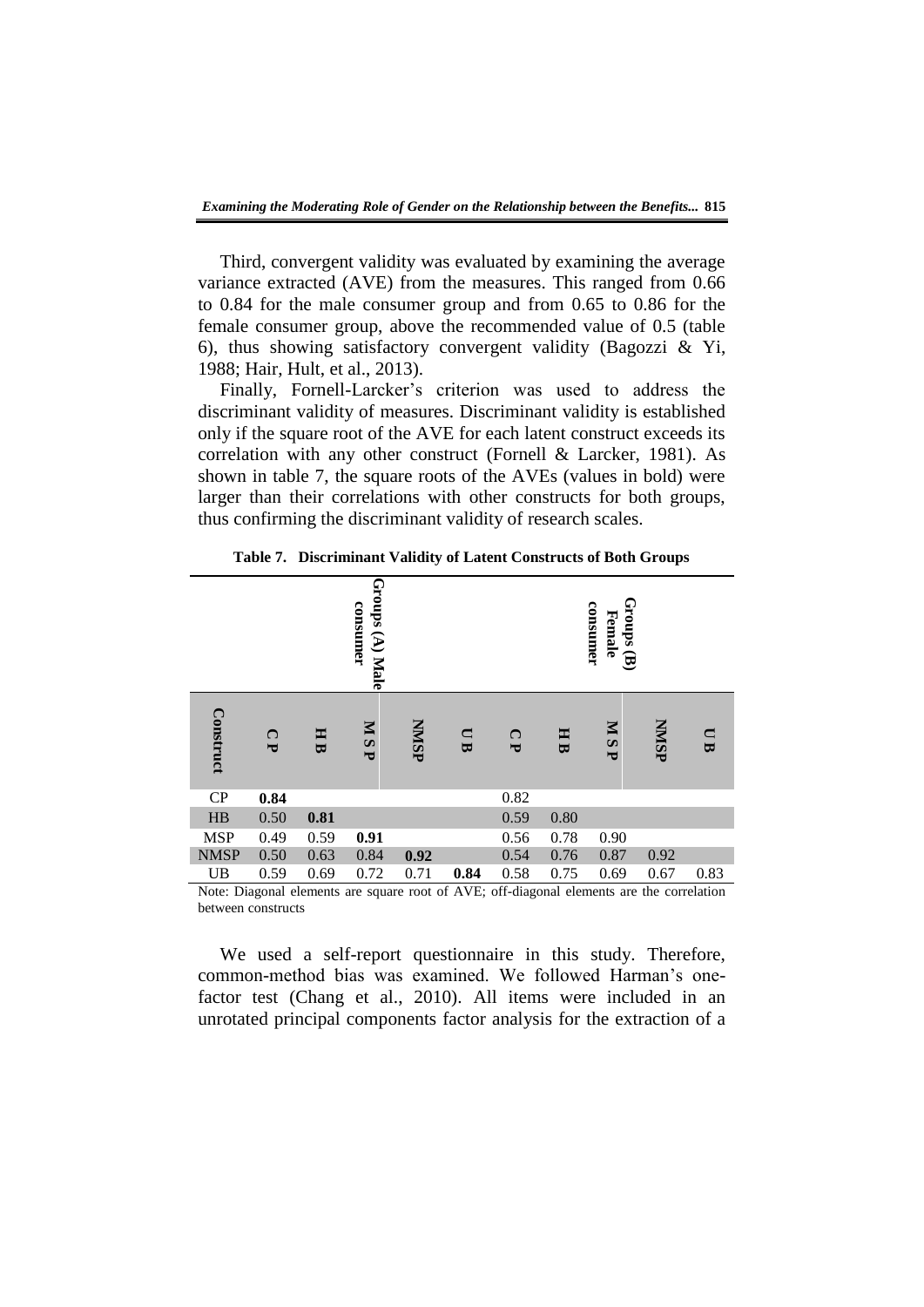Third, convergent validity was evaluated by examining the average variance extracted (AVE) from the measures. This ranged from 0.66 to 0.84 for the male consumer group and from 0.65 to 0.86 for the female consumer group, above the recommended value of 0.5 (table 6), thus showing satisfactory convergent validity (Bagozzi & Yi, 1988; Hair, Hult, et al., 2013).

Finally, Fornell-Larcker's criterion was used to address the discriminant validity of measures. Discriminant validity is established only if the square root of the AVE for each latent construct exceeds its correlation with any other construct (Fornell & Larcker, 1981). As shown in table 7, the square roots of the AVEs (values in bold) were larger than their correlations with other constructs for both groups, thus confirming the discriminant validity of research scales.

|             |              |      | Groups (A) Male<br>consumer |              |        |              |                              | $Groups\left( {\bf B} \right)$<br>consumer<br>Female |              |             |
|-------------|--------------|------|-----------------------------|--------------|--------|--------------|------------------------------|------------------------------------------------------|--------------|-------------|
| Construct   | $\mathbf{C}$ | HB   | <b>MSP</b>                  | <b>NNISP</b> | $\Box$ | $\mathbf{C}$ | E<br>$\overline{\mathbf{u}}$ | <b>MSP</b>                                           | <b>NNISP</b> | $\Box$<br>B |
| CP          | 0.84         |      |                             |              |        | 0.82         |                              |                                                      |              |             |
| HB          | 0.50         | 0.81 |                             |              |        | 0.59         | 0.80                         |                                                      |              |             |
| <b>MSP</b>  | 0.49         | 0.59 | 0.91                        |              |        | 0.56         | 0.78                         | 0.90                                                 |              |             |
| <b>NMSP</b> | 0.50         | 0.63 | 0.84                        | 0.92         |        | 0.54         | 0.76                         | 0.87                                                 | 0.92         |             |
| <b>UB</b>   | 0.59         | 0.69 | 0.72                        | 0.71         | 0.84   | 0.58         | 0.75                         | 0.69                                                 | 0.67         | 0.83        |

**Table 7. Discriminant Validity of Latent Constructs of Both Groups**

Note: Diagonal elements are square root of AVE; off-diagonal elements are the correlation between constructs

We used a self-report questionnaire in this study. Therefore, common-method bias was examined. We followed Harman's onefactor test (Chang et al., 2010). All items were included in an unrotated principal components factor analysis for the extraction of a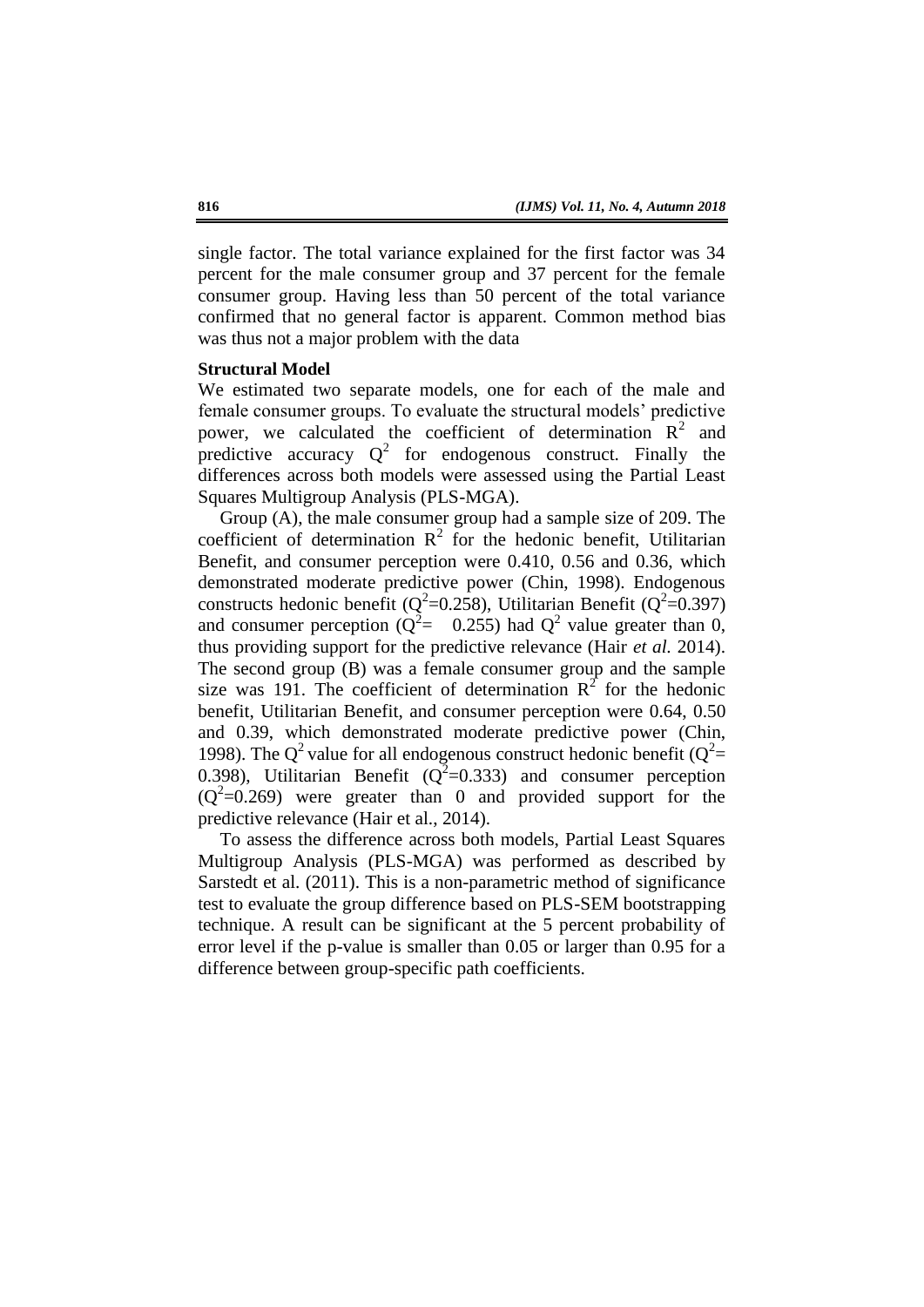single factor. The total variance explained for the first factor was 34 percent for the male consumer group and 37 percent for the female consumer group. Having less than 50 percent of the total variance confirmed that no general factor is apparent. Common method bias was thus not a major problem with the data

#### **Structural Model**

We estimated two separate models, one for each of the male and female consumer groups. To evaluate the structural models' predictive power, we calculated the coefficient of determination  $R^2$  and predictive accuracy  $Q^2$  for endogenous construct. Finally the differences across both models were assessed using the Partial Least Squares Multigroup Analysis (PLS-MGA).

Group (A), the male consumer group had a sample size of 209. The coefficient of determination  $R^2$  for the hedonic benefit, Utilitarian Benefit, and consumer perception were 0.410, 0.56 and 0.36, which demonstrated moderate predictive power (Chin, 1998). Endogenous constructs hedonic benefit ( $Q^2$ =0.258), Utilitarian Benefit ( $Q^2$ =0.397) and consumer perception ( $Q^2$  = 0.255) had  $Q^2$  value greater than 0, thus providing support for the predictive relevance (Hair *et al.* 2014). The second group (B) was a female consumer group and the sample size was 191. The coefficient of determination  $R^2$  for the hedonic benefit, Utilitarian Benefit, and consumer perception were 0.64, 0.50 and 0.39, which demonstrated moderate predictive power (Chin, 1998). The Q<sup>2</sup> value for all endogenous construct hedonic benefit ( $Q^2$ = 0.398), Utilitarian Benefit ( $Q^2$ =0.333) and consumer perception  $(Q<sup>2</sup>=0.269)$  were greater than 0 and provided support for the predictive relevance (Hair et al., 2014).

To assess the difference across both models, Partial Least Squares Multigroup Analysis (PLS-MGA) was performed as described by Sarstedt et al. (2011). This is a non-parametric method of significance test to evaluate the group difference based on PLS-SEM bootstrapping technique. A result can be significant at the 5 percent probability of error level if the p-value is smaller than 0.05 or larger than 0.95 for a difference between group-specific path coefficients.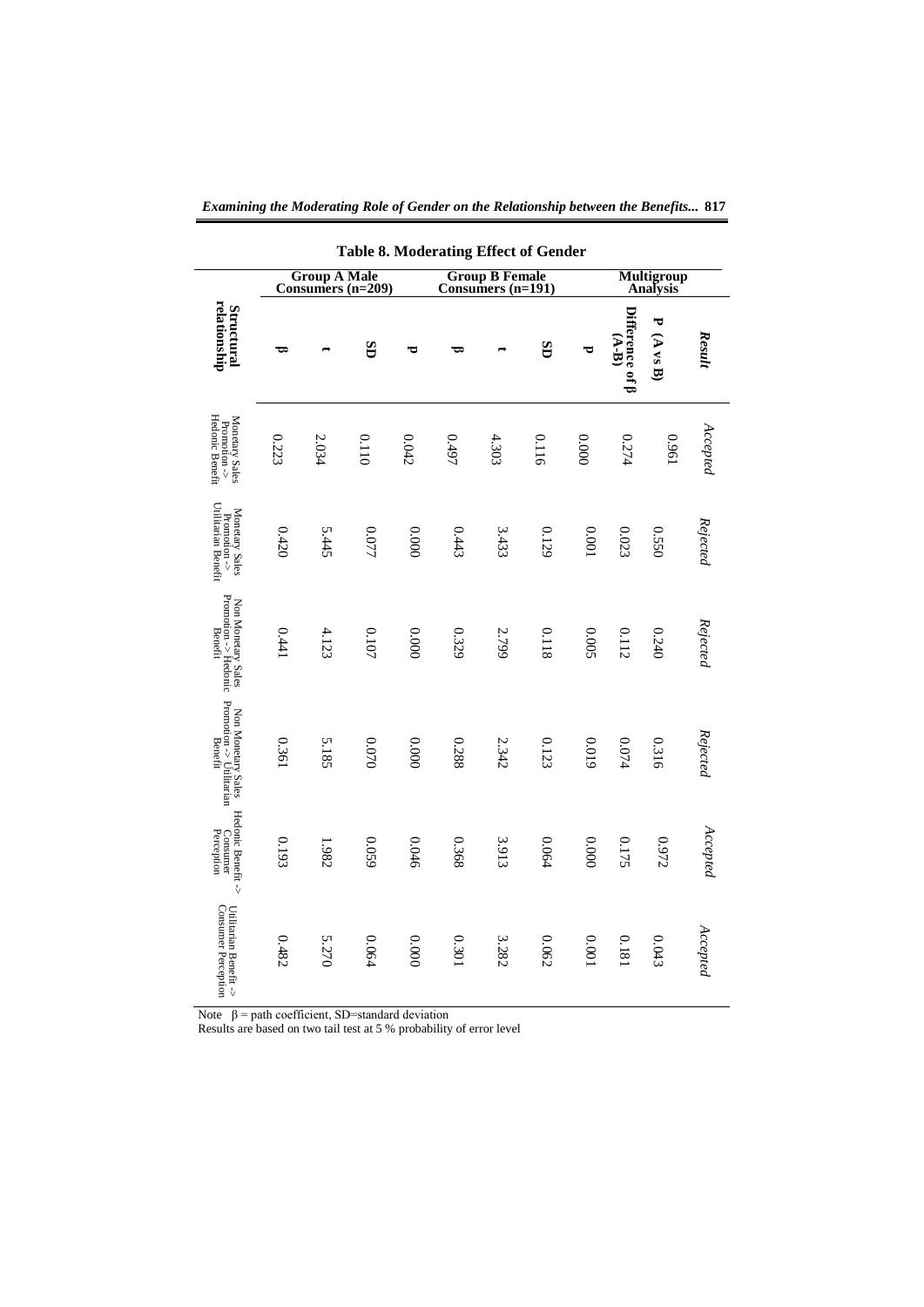| <b>Table 8. Moderating Effect of Gender</b>                  |                                                                                        |       |       |       |       |       |       |        |                                  |                                      |                   |
|--------------------------------------------------------------|----------------------------------------------------------------------------------------|-------|-------|-------|-------|-------|-------|--------|----------------------------------|--------------------------------------|-------------------|
|                                                              | <b>Group A Male</b><br>Consumers (n=209)<br><b>Group B Female</b><br>Consumers (n=191) |       |       |       |       |       |       |        |                                  | <b>Multigroup</b><br><b>Analysis</b> |                   |
| relationship<br><b>Structural</b>                            | ರಾ                                                                                     |       | GS    | ರ     | ರಾ    |       | GS    | ರ      | Difference of $\beta$<br>$(A-B)$ | ᠇<br>$(A$ as $B)$                    | Result            |
| Hedonic Benefit<br>Monetary Sales<br>Promotion $\Rightarrow$ | 0.223                                                                                  | 2.034 | 0.110 | 0.042 | 1670  | 4.303 | 0.116 | 0000   | 0.274                            | 1960                                 | $\it Acepped$     |
| Promotion -><br>Utilitarian Benefit<br>Monetary Sales        | 0.420                                                                                  | 5.445 | 0.077 | 0000  | 0.443 | 3.433 | 0.129 | 1000   | 0.023                            | 0.550                                | Rejected          |
| Promotion -> Hedonic<br>Non Monetary Sales<br><b>Benefit</b> | 0.441                                                                                  | 4.123 | 0.107 | 0000  | 0.329 | 2.799 | 0.118 | 0.005  | 0.112                            | 0.240                                | $\emph{Rejected}$ |
| Promotion -> Utilitarian<br>Benefit<br>Non Monetary Sales    | 0.361                                                                                  | 5.185 | 070.0 | 0000  | 0.288 | 2.342 | 0.123 | 6100   | 0.074                            | 0.316                                | Rejected          |
| Hedonic Benefit -><br>Perception<br>Consumer                 | 0.193                                                                                  | 1.982 | 6500  | 0.046 | 0.368 | 3.913 | 0.064 | 0.0000 | 0.175                            | 0.972                                | Accepted          |
| Consumer Perception<br>Utilitarian Benefit ->                | 0.482                                                                                  | 5.270 | 0.064 | 0000  | 0.301 | 3.282 | 0.062 | 0.001  | 0.181                            | 0.043                                | Accepted          |

Note  $\beta$  = path coefficient, SD=standard deviation

Results are based on two tail test at 5 % probability of error level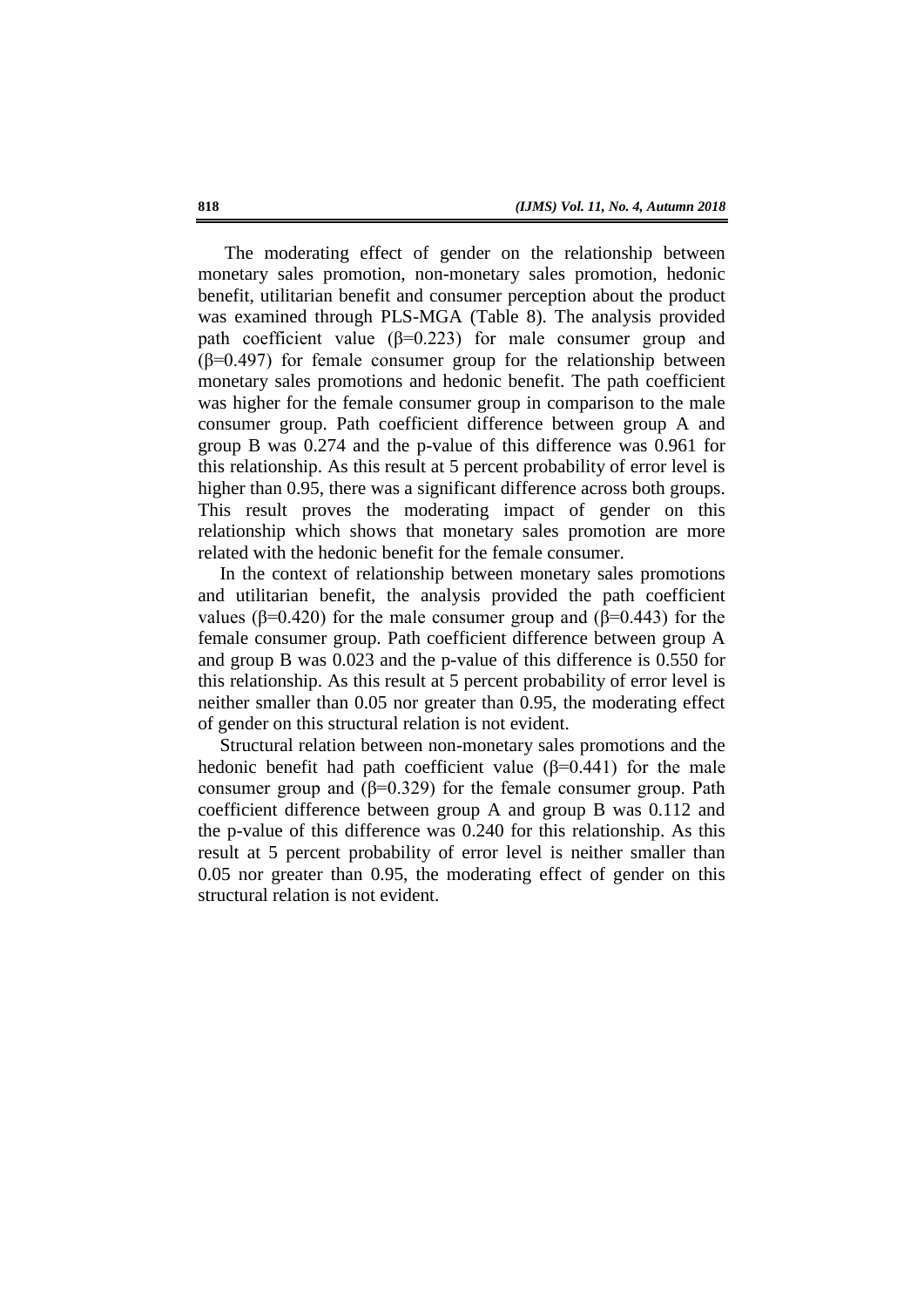The moderating effect of gender on the relationship between monetary sales promotion, non-monetary sales promotion, hedonic benefit, utilitarian benefit and consumer perception about the product was examined through PLS-MGA (Table 8). The analysis provided path coefficient value ( $\beta$ =0.223) for male consumer group and (β=0.497) for female consumer group for the relationship between monetary sales promotions and hedonic benefit. The path coefficient was higher for the female consumer group in comparison to the male consumer group. Path coefficient difference between group A and group B was 0.274 and the p-value of this difference was 0.961 for this relationship. As this result at 5 percent probability of error level is higher than 0.95, there was a significant difference across both groups. This result proves the moderating impact of gender on this relationship which shows that monetary sales promotion are more related with the hedonic benefit for the female consumer.

In the context of relationship between monetary sales promotions and utilitarian benefit, the analysis provided the path coefficient values ( $β=0.420$ ) for the male consumer group and ( $β=0.443$ ) for the female consumer group. Path coefficient difference between group A and group B was 0.023 and the p-value of this difference is 0.550 for this relationship. As this result at 5 percent probability of error level is neither smaller than 0.05 nor greater than 0.95, the moderating effect of gender on this structural relation is not evident.

Structural relation between non-monetary sales promotions and the hedonic benefit had path coefficient value  $(\beta=0.441)$  for the male consumer group and ( $\beta$ =0.329) for the female consumer group. Path coefficient difference between group A and group B was 0.112 and the p-value of this difference was 0.240 for this relationship. As this result at 5 percent probability of error level is neither smaller than 0.05 nor greater than 0.95, the moderating effect of gender on this structural relation is not evident.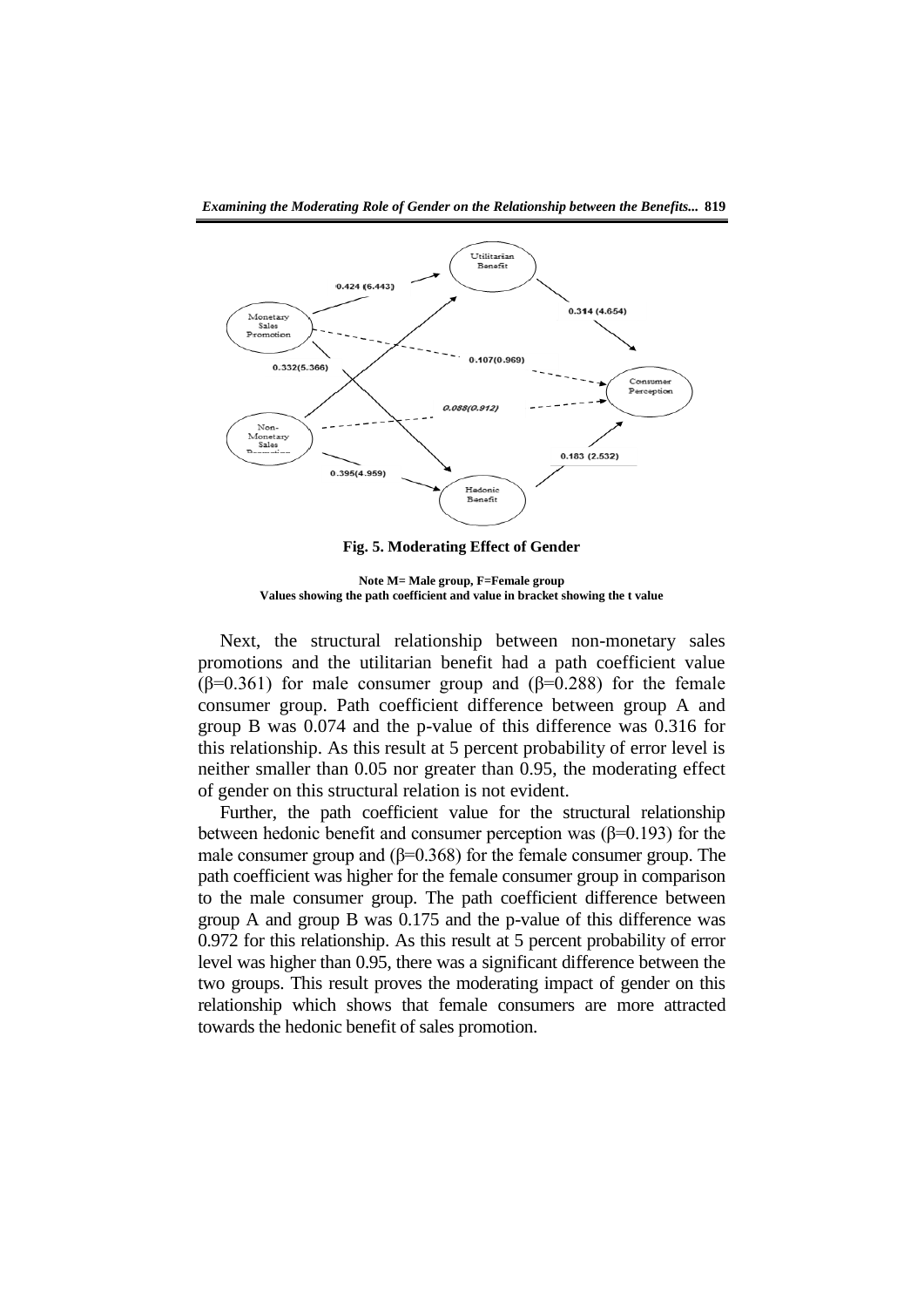

**Fig. 5. Moderating Effect of Gender**

**Note M= Male group, F=Female group Values showing the path coefficient and value in bracket showing the t value**

Next, the structural relationship between non-monetary sales promotions and the utilitarian benefit had a path coefficient value ( $\beta$ =0.361) for male consumer group and ( $\beta$ =0.288) for the female consumer group. Path coefficient difference between group A and group B was 0.074 and the p-value of this difference was 0.316 for this relationship. As this result at 5 percent probability of error level is neither smaller than 0.05 nor greater than 0.95, the moderating effect of gender on this structural relation is not evident.

Further, the path coefficient value for the structural relationship between hedonic benefit and consumer perception was  $(\beta=0.193)$  for the male consumer group and  $(\beta=0.368)$  for the female consumer group. The path coefficient was higher for the female consumer group in comparison to the male consumer group. The path coefficient difference between group A and group B was 0.175 and the p-value of this difference was 0.972 for this relationship. As this result at 5 percent probability of error level was higher than 0.95, there was a significant difference between the two groups. This result proves the moderating impact of gender on this relationship which shows that female consumers are more attracted towards the hedonic benefit of sales promotion.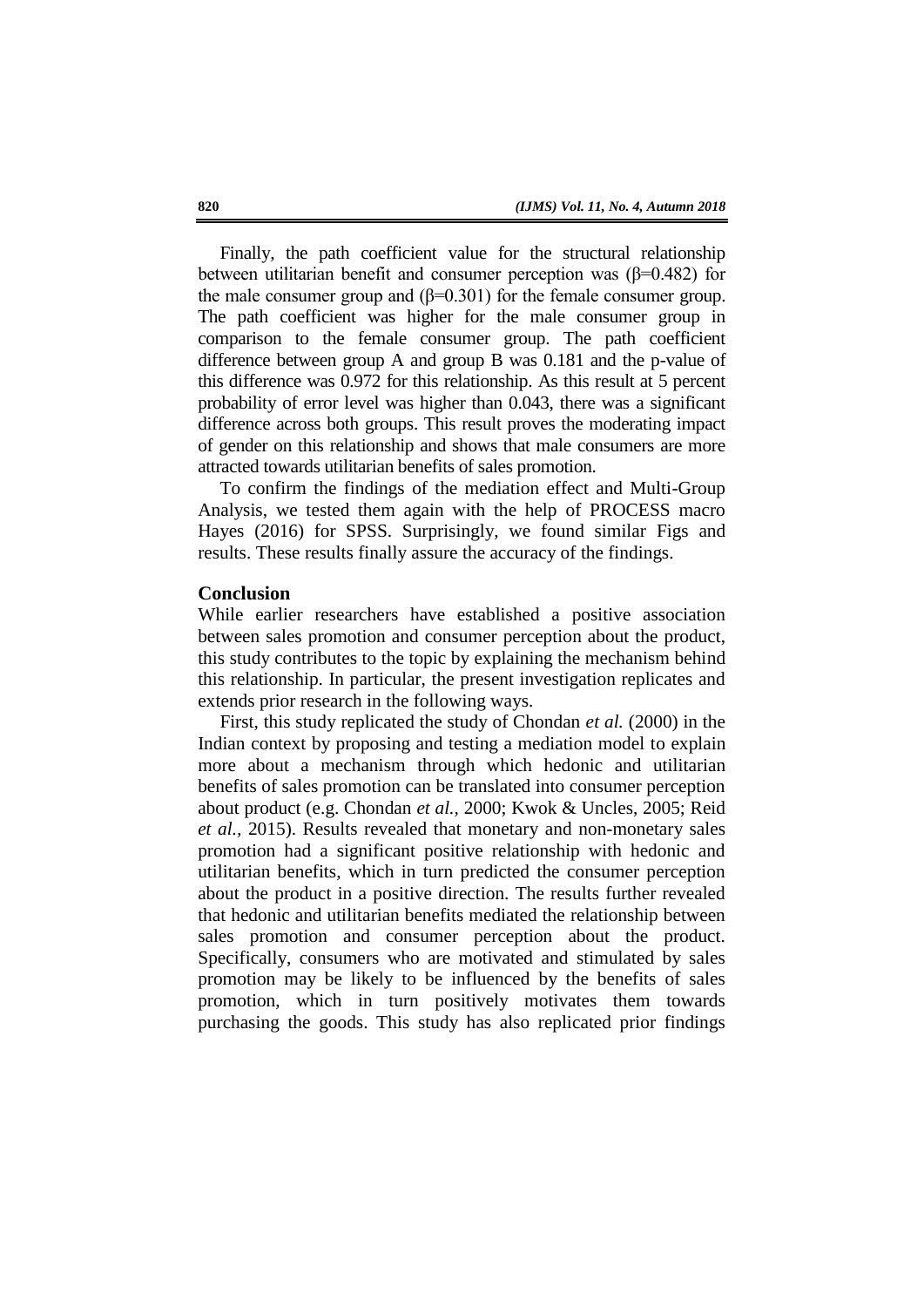Finally, the path coefficient value for the structural relationship between utilitarian benefit and consumer perception was ( $\beta$ =0.482) for the male consumer group and  $(\beta=0.301)$  for the female consumer group. The path coefficient was higher for the male consumer group in comparison to the female consumer group. The path coefficient difference between group A and group B was 0.181 and the p-value of this difference was 0.972 for this relationship. As this result at 5 percent probability of error level was higher than 0.043, there was a significant difference across both groups. This result proves the moderating impact of gender on this relationship and shows that male consumers are more attracted towards utilitarian benefits of sales promotion.

To confirm the findings of the mediation effect and Multi-Group Analysis, we tested them again with the help of PROCESS macro Hayes (2016) for SPSS. Surprisingly, we found similar Figs and results. These results finally assure the accuracy of the findings.

### **Conclusion**

While earlier researchers have established a positive association between sales promotion and consumer perception about the product, this study contributes to the topic by explaining the mechanism behind this relationship. In particular, the present investigation replicates and extends prior research in the following ways.

First, this study replicated the study of Chondan *et al.* (2000) in the Indian context by proposing and testing a mediation model to explain more about a mechanism through which hedonic and utilitarian benefits of sales promotion can be translated into consumer perception about product (e.g. Chondan *et al.,* 2000; Kwok & Uncles, 2005; Reid *et al.,* 2015). Results revealed that monetary and non-monetary sales promotion had a significant positive relationship with hedonic and utilitarian benefits, which in turn predicted the consumer perception about the product in a positive direction. The results further revealed that hedonic and utilitarian benefits mediated the relationship between sales promotion and consumer perception about the product. Specifically, consumers who are motivated and stimulated by sales promotion may be likely to be influenced by the benefits of sales promotion, which in turn positively motivates them towards purchasing the goods. This study has also replicated prior findings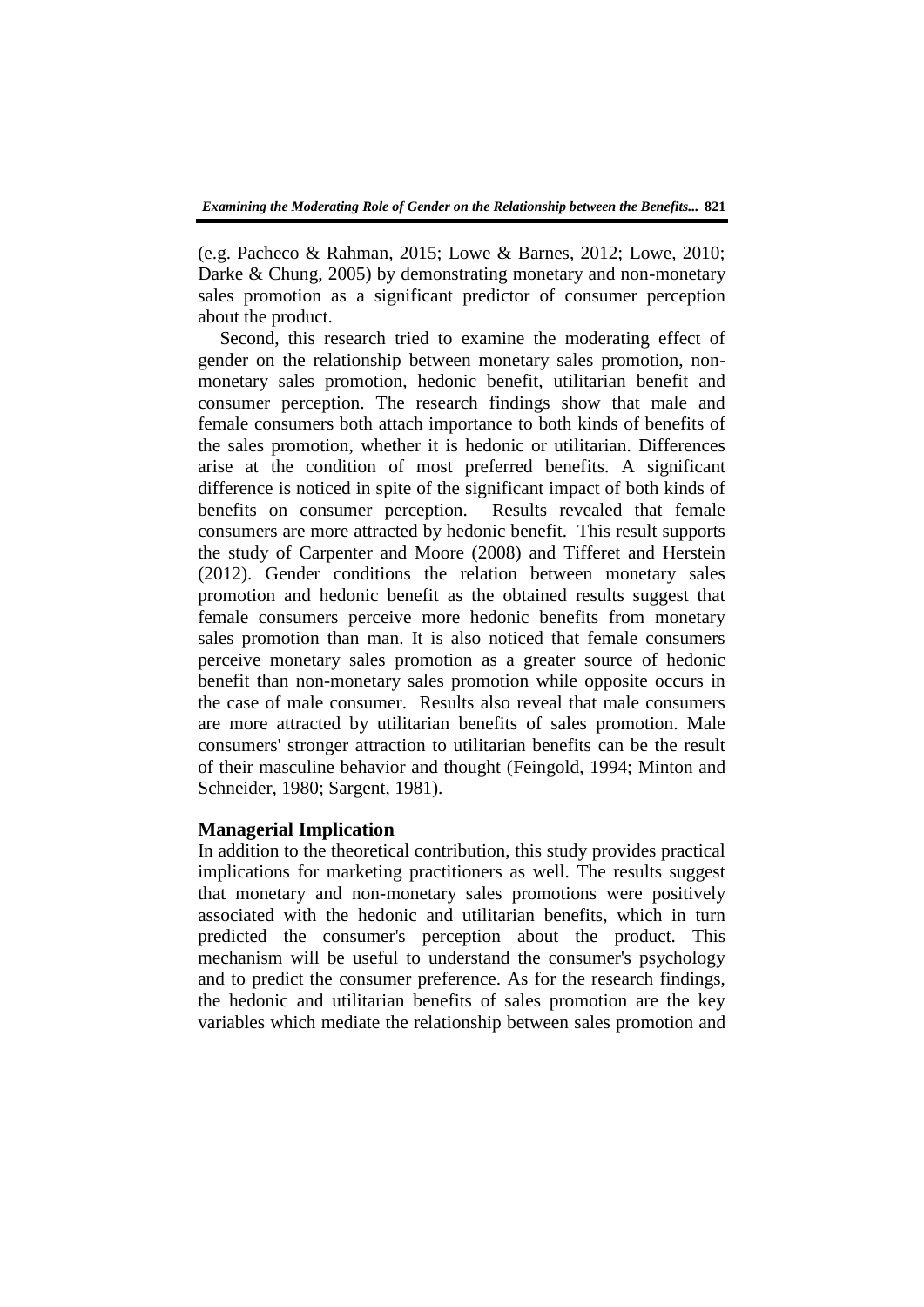(e.g. Pacheco & Rahman, 2015; Lowe & Barnes, 2012; Lowe, 2010; Darke & Chung, 2005) by demonstrating monetary and non-monetary sales promotion as a significant predictor of consumer perception about the product.

Second, this research tried to examine the moderating effect of gender on the relationship between monetary sales promotion, nonmonetary sales promotion, hedonic benefit, utilitarian benefit and consumer perception. The research findings show that male and female consumers both attach importance to both kinds of benefits of the sales promotion, whether it is hedonic or utilitarian. Differences arise at the condition of most preferred benefits. A significant difference is noticed in spite of the significant impact of both kinds of benefits on consumer perception. Results revealed that female consumers are more attracted by hedonic benefit. This result supports the study of Carpenter and Moore (2008) and Tifferet and Herstein (2012). Gender conditions the relation between monetary sales promotion and hedonic benefit as the obtained results suggest that female consumers perceive more hedonic benefits from monetary sales promotion than man. It is also noticed that female consumers perceive monetary sales promotion as a greater source of hedonic benefit than non-monetary sales promotion while opposite occurs in the case of male consumer. Results also reveal that male consumers are more attracted by utilitarian benefits of sales promotion. Male consumers' stronger attraction to utilitarian benefits can be the result of their masculine behavior and thought (Feingold, 1994; Minton and Schneider, 1980; Sargent, 1981).

# **Managerial Implication**

In addition to the theoretical contribution, this study provides practical implications for marketing practitioners as well. The results suggest that monetary and non-monetary sales promotions were positively associated with the hedonic and utilitarian benefits, which in turn predicted the consumer's perception about the product. This mechanism will be useful to understand the consumer's psychology and to predict the consumer preference. As for the research findings, the hedonic and utilitarian benefits of sales promotion are the key variables which mediate the relationship between sales promotion and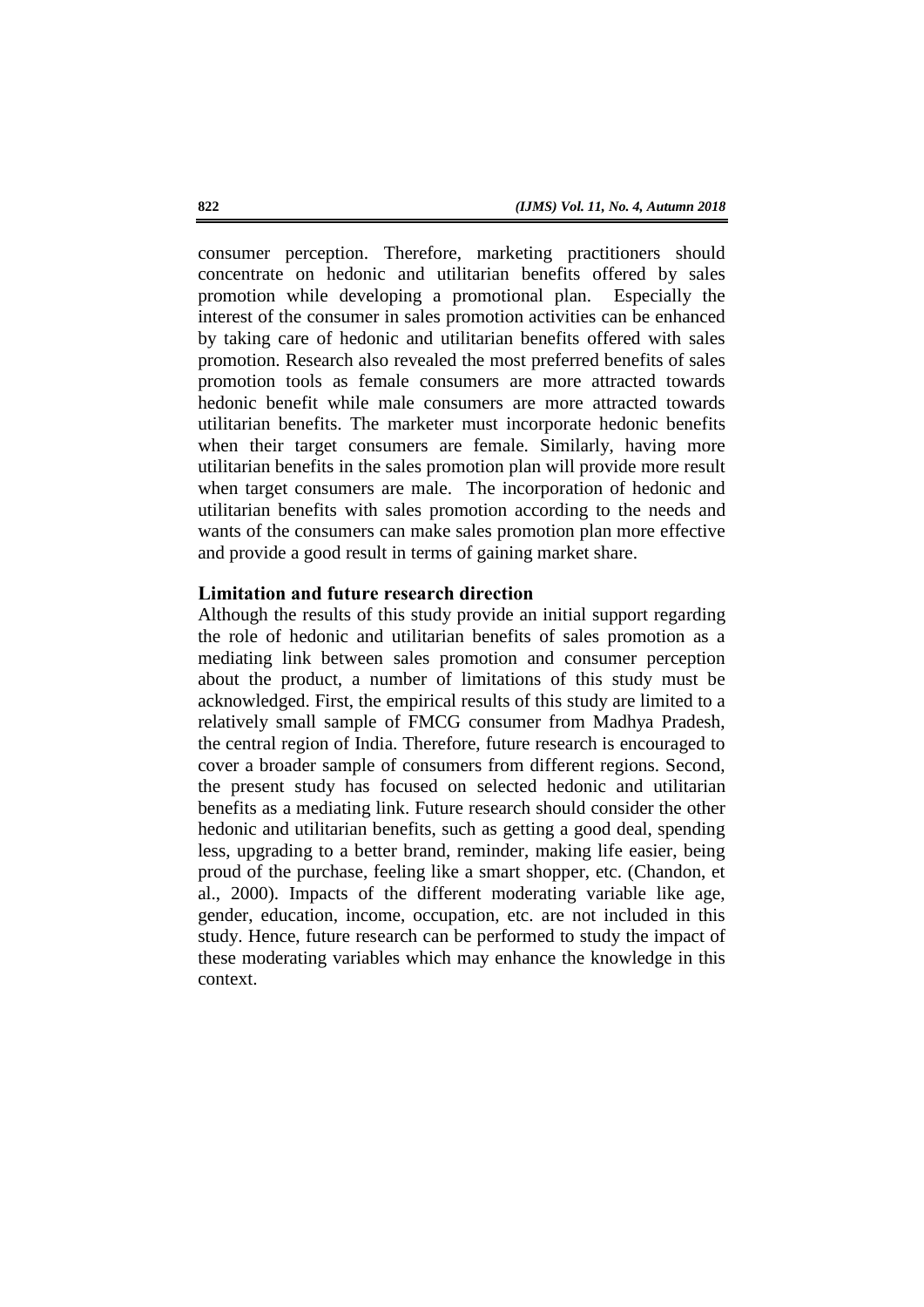consumer perception. Therefore, marketing practitioners should concentrate on hedonic and utilitarian benefits offered by sales promotion while developing a promotional plan. Especially the interest of the consumer in sales promotion activities can be enhanced by taking care of hedonic and utilitarian benefits offered with sales promotion. Research also revealed the most preferred benefits of sales promotion tools as female consumers are more attracted towards hedonic benefit while male consumers are more attracted towards utilitarian benefits. The marketer must incorporate hedonic benefits when their target consumers are female. Similarly, having more utilitarian benefits in the sales promotion plan will provide more result when target consumers are male. The incorporation of hedonic and utilitarian benefits with sales promotion according to the needs and wants of the consumers can make sales promotion plan more effective and provide a good result in terms of gaining market share.

# **Limitation and future research direction**

Although the results of this study provide an initial support regarding the role of hedonic and utilitarian benefits of sales promotion as a mediating link between sales promotion and consumer perception about the product, a number of limitations of this study must be acknowledged. First, the empirical results of this study are limited to a relatively small sample of FMCG consumer from Madhya Pradesh, the central region of India. Therefore, future research is encouraged to cover a broader sample of consumers from different regions. Second, the present study has focused on selected hedonic and utilitarian benefits as a mediating link. Future research should consider the other hedonic and utilitarian benefits, such as getting a good deal, spending less, upgrading to a better brand, reminder, making life easier, being proud of the purchase, feeling like a smart shopper, etc. (Chandon, et al., 2000). Impacts of the different moderating variable like age, gender, education, income, occupation, etc. are not included in this study. Hence, future research can be performed to study the impact of these moderating variables which may enhance the knowledge in this context.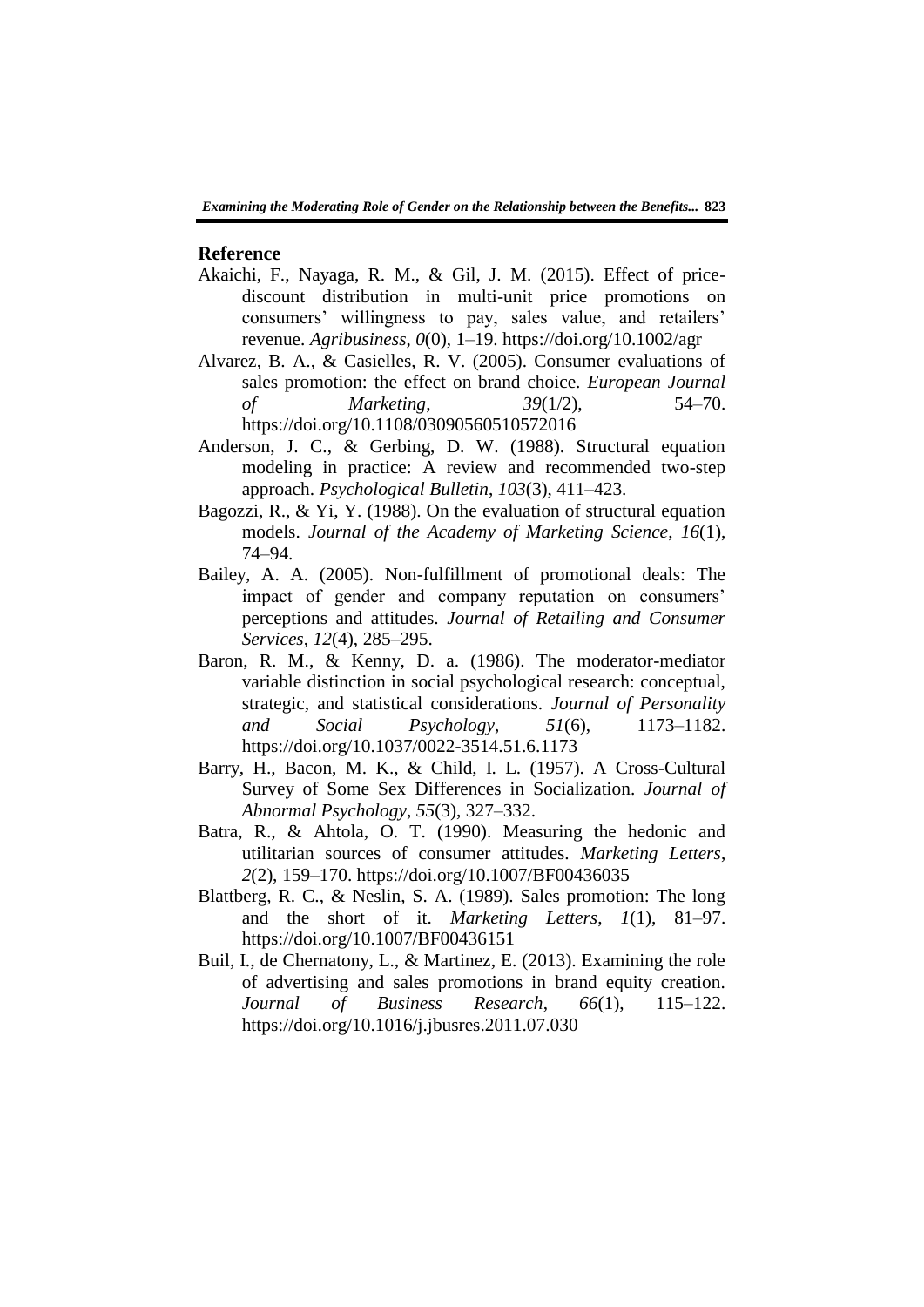### **Reference**

- Akaichi, F., Nayaga, R. M., & Gil, J. M. (2015). Effect of pricediscount distribution in multi-unit price promotions on consumers' willingness to pay, sales value, and retailers' revenue. *Agribusiness*, *0*(0), 1–19. https://doi.org/10.1002/agr
- Alvarez, B. A., & Casielles, R. V. (2005). Consumer evaluations of sales promotion: the effect on brand choice. *European Journal of Marketing*, *39*(1/2), 54–70. https://doi.org/10.1108/03090560510572016
- Anderson, J. C., & Gerbing, D. W. (1988). Structural equation modeling in practice: A review and recommended two-step approach. *Psychological Bulletin*, *103*(3), 411–423.
- Bagozzi, R., & Yi, Y. (1988). On the evaluation of structural equation models. *Journal of the Academy of Marketing Science*, *16*(1), 74–94.
- Bailey, A. A. (2005). Non-fulfillment of promotional deals: The impact of gender and company reputation on consumers' perceptions and attitudes. *Journal of Retailing and Consumer Services*, *12*(4), 285–295.
- Baron, R. M., & Kenny, D. a. (1986). The moderator-mediator variable distinction in social psychological research: conceptual, strategic, and statistical considerations. *Journal of Personality and Social Psychology*, *51*(6), 1173–1182. https://doi.org/10.1037/0022-3514.51.6.1173
- Barry, H., Bacon, M. K., & Child, I. L. (1957). A Cross-Cultural Survey of Some Sex Differences in Socialization. *Journal of Abnormal Psychology*, *55*(3), 327–332.
- Batra, R., & Ahtola, O. T. (1990). Measuring the hedonic and utilitarian sources of consumer attitudes. *Marketing Letters*, *2*(2), 159–170. https://doi.org/10.1007/BF00436035
- Blattberg, R. C., & Neslin, S. A. (1989). Sales promotion: The long and the short of it. *Marketing Letters*, *1*(1), 81–97. https://doi.org/10.1007/BF00436151
- Buil, I., de Chernatony, L., & Martinez, E. (2013). Examining the role of advertising and sales promotions in brand equity creation. *Journal of Business Research*, *66*(1), 115–122. https://doi.org/10.1016/j.jbusres.2011.07.030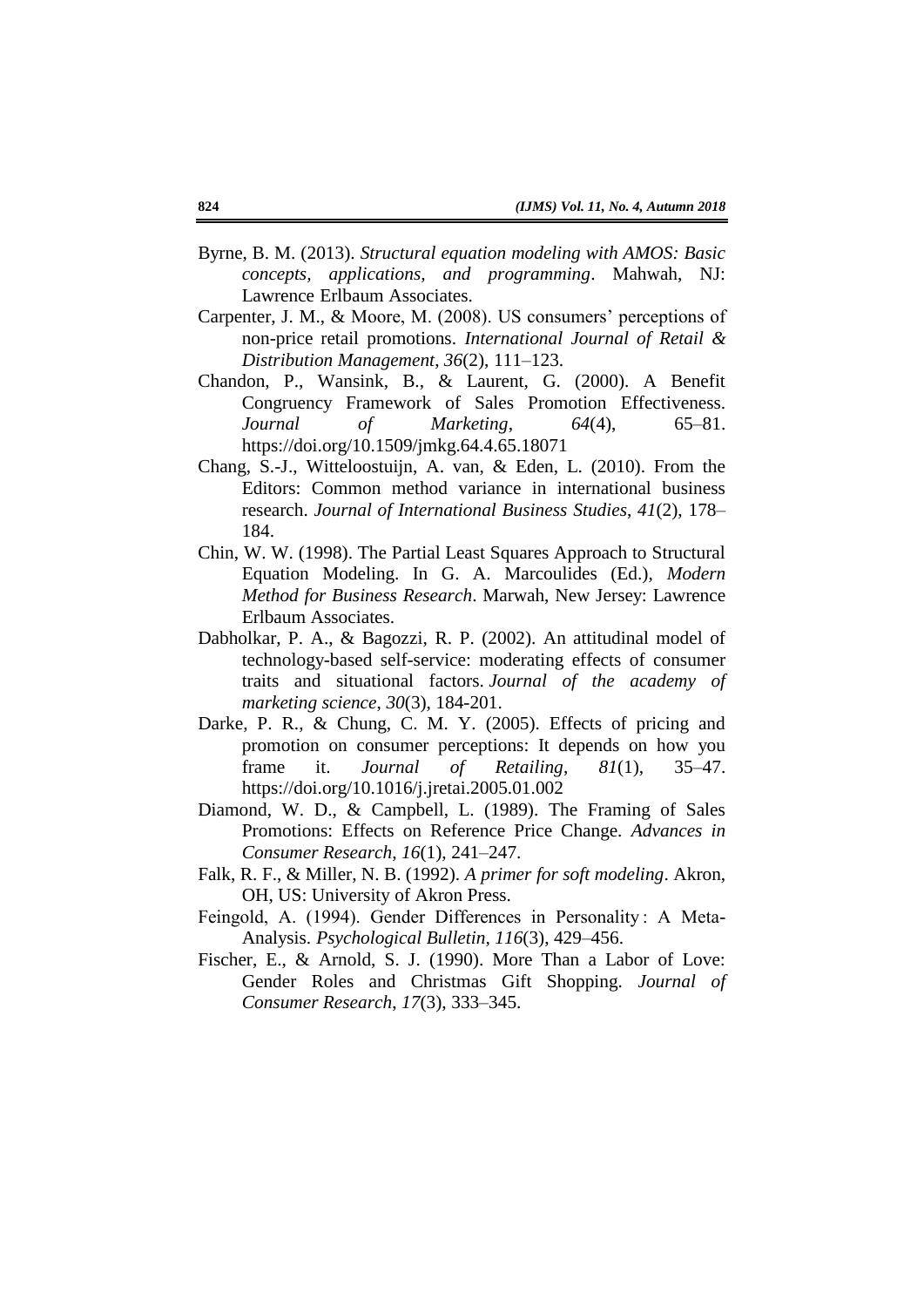- Byrne, B. M. (2013). *Structural equation modeling with AMOS: Basic concepts, applications, and programming*. Mahwah, NJ: Lawrence Erlbaum Associates.
- Carpenter, J. M., & Moore, M. (2008). US consumers' perceptions of non-price retail promotions. *International Journal of Retail & Distribution Management*, *36*(2), 111–123.
- Chandon, P., Wansink, B., & Laurent, G. (2000). A Benefit Congruency Framework of Sales Promotion Effectiveness. *Journal of Marketing*, *64*(4), 65–81. https://doi.org/10.1509/jmkg.64.4.65.18071
- Chang, S.-J., Witteloostuijn, A. van, & Eden, L. (2010). From the Editors: Common method variance in international business research. *Journal of International Business Studies*, *41*(2), 178– 184.
- Chin, W. W. (1998). The Partial Least Squares Approach to Structural Equation Modeling. In G. A. Marcoulides (Ed.), *Modern Method for Business Research*. Marwah, New Jersey: Lawrence Erlbaum Associates.
- Dabholkar, P. A., & Bagozzi, R. P. (2002). An attitudinal model of technology-based self-service: moderating effects of consumer traits and situational factors. *Journal of the academy of marketing science*, *30*(3), 184-201.
- Darke, P. R., & Chung, C. M. Y. (2005). Effects of pricing and promotion on consumer perceptions: It depends on how you frame it. *Journal of Retailing*, *81*(1), 35–47. https://doi.org/10.1016/j.jretai.2005.01.002
- Diamond, W. D., & Campbell, L. (1989). The Framing of Sales Promotions: Effects on Reference Price Change. *Advances in Consumer Research*, *16*(1), 241–247.
- Falk, R. F., & Miller, N. B. (1992). *A primer for soft modeling*. Akron, OH, US: University of Akron Press.
- Feingold, A. (1994). Gender Differences in Personality: A Meta-Analysis. *Psychological Bulletin*, *116*(3), 429–456.
- Fischer, E., & Arnold, S. J. (1990). More Than a Labor of Love: Gender Roles and Christmas Gift Shopping. *Journal of Consumer Research*, *17*(3), 333–345.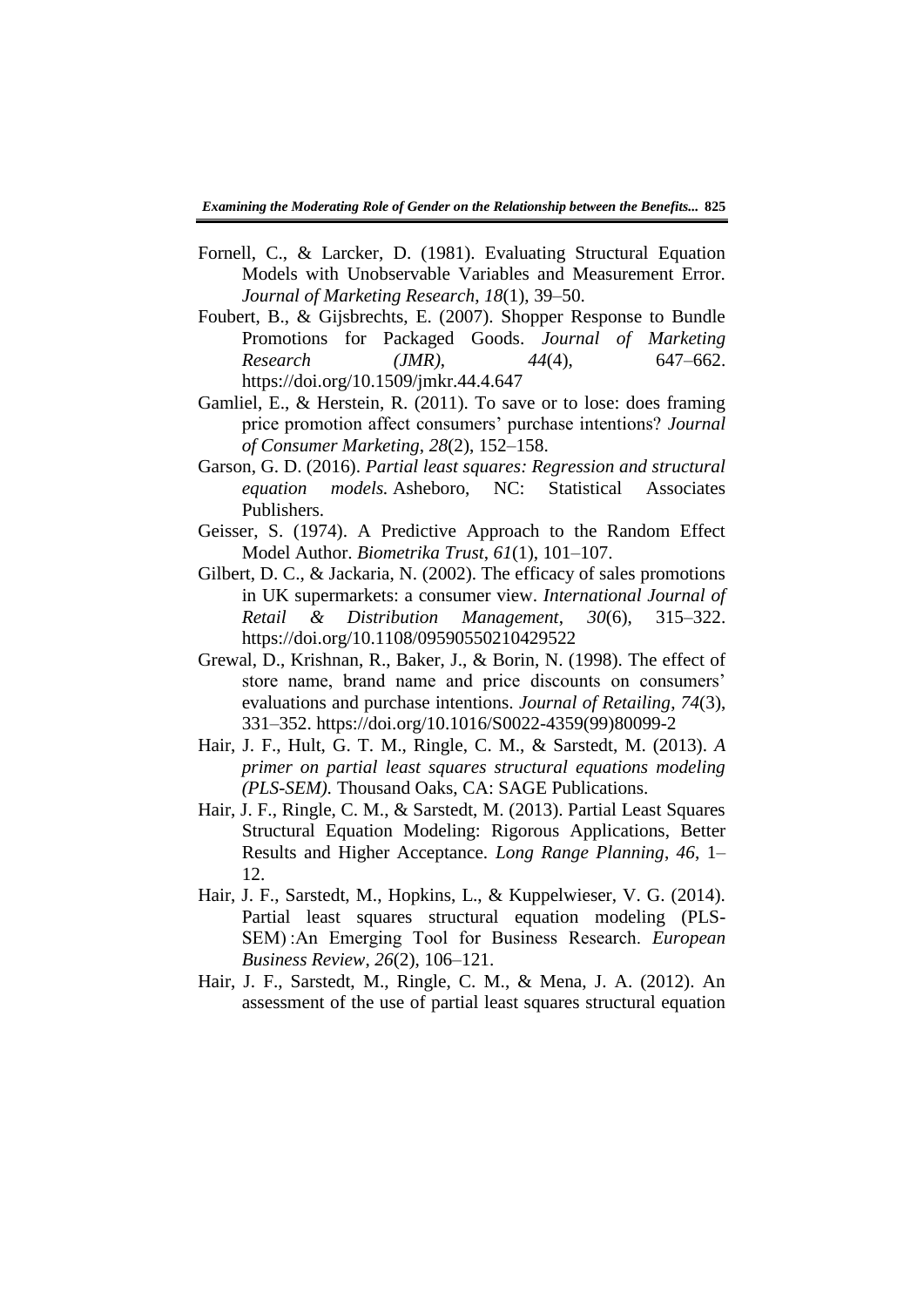- Fornell, C., & Larcker, D. (1981). Evaluating Structural Equation Models with Unobservable Variables and Measurement Error. *Journal of Marketing Research*, *18*(1), 39–50.
- Foubert, B., & Gijsbrechts, E. (2007). Shopper Response to Bundle Promotions for Packaged Goods. *Journal of Marketing Research (JMR)*, *44*(4), 647–662. https://doi.org/10.1509/jmkr.44.4.647
- Gamliel, E., & Herstein, R. (2011). To save or to lose: does framing price promotion affect consumers' purchase intentions? *Journal of Consumer Marketing*, *28*(2), 152–158.
- Garson, G. D. (2016). *Partial least squares: Regression and structural equation models.* Asheboro, NC: Statistical Associates Publishers.
- Geisser, S. (1974). A Predictive Approach to the Random Effect Model Author. *Biometrika Trust*, *61*(1), 101–107.
- Gilbert, D. C., & Jackaria, N. (2002). The efficacy of sales promotions in UK supermarkets: a consumer view. *International Journal of Retail & Distribution Management*, *30*(6), 315–322. https://doi.org/10.1108/09590550210429522
- Grewal, D., Krishnan, R., Baker, J., & Borin, N. (1998). The effect of store name, brand name and price discounts on consumers' evaluations and purchase intentions. *Journal of Retailing*, *74*(3), 331–352. https://doi.org/10.1016/S0022-4359(99)80099-2
- Hair, J. F., Hult, G. T. M., Ringle, C. M., & Sarstedt, M. (2013). *A primer on partial least squares structural equations modeling (PLS-SEM)*. Thousand Oaks, CA: SAGE Publications.
- Hair, J. F., Ringle, C. M., & Sarstedt, M. (2013). Partial Least Squares Structural Equation Modeling: Rigorous Applications, Better Results and Higher Acceptance. *Long Range Planning*, *46*, 1– 12.
- Hair, J. F., Sarstedt, M., Hopkins, L., & Kuppelwieser, V. G. (2014). Partial least squares structural equation modeling (PLS-SEM) :An Emerging Tool for Business Research. *European Business Review*, *26*(2), 106–121.
- Hair, J. F., Sarstedt, M., Ringle, C. M., & Mena, J. A. (2012). An assessment of the use of partial least squares structural equation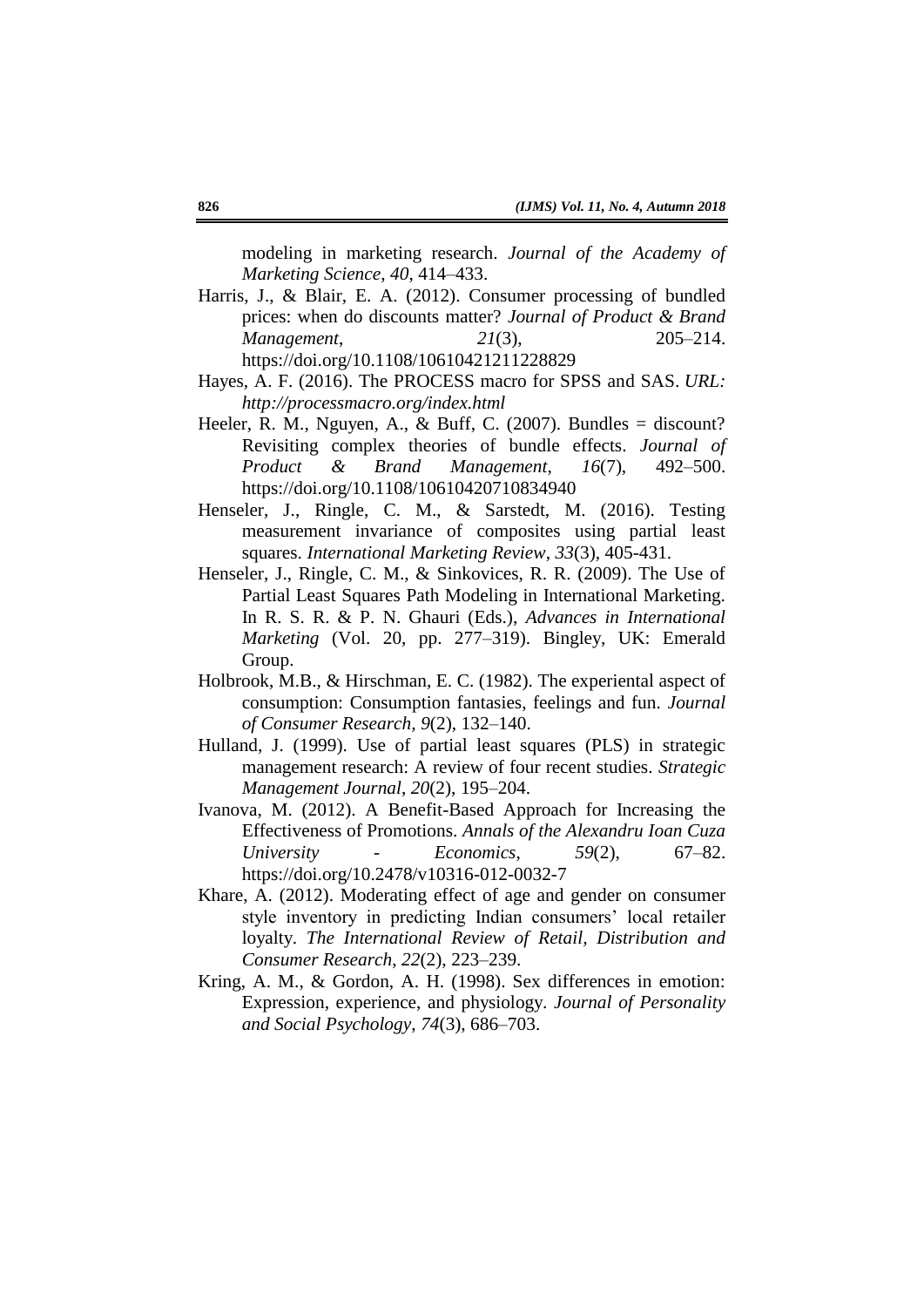modeling in marketing research. *Journal of the Academy of Marketing Science*, *40*, 414–433.

- Harris, J., & Blair, E. A. (2012). Consumer processing of bundled prices: when do discounts matter? *Journal of Product & Brand Management*, *21*(3), 205–214. https://doi.org/10.1108/10610421211228829
- Hayes, A. F. (2016). The PROCESS macro for SPSS and SAS. *URL: http://processmacro.org/index.html*
- Heeler, R. M., Nguyen, A., & Buff, C.  $(2007)$ . Bundles = discount? Revisiting complex theories of bundle effects. *Journal of Product & Brand Management*, *16*(7), 492–500. https://doi.org/10.1108/10610420710834940
- Henseler, J., Ringle, C. M., & Sarstedt, M. (2016). Testing measurement invariance of composites using partial least squares. *International Marketing Review*, *33*(3), 405-431.
- Henseler, J., Ringle, C. M., & Sinkovices, R. R. (2009). The Use of Partial Least Squares Path Modeling in International Marketing. In R. S. R. & P. N. Ghauri (Eds.), *Advances in International Marketing* (Vol. 20, pp. 277–319). Bingley, UK: Emerald Group.
- Holbrook, M.B., & Hirschman, E. C. (1982). The experiental aspect of consumption: Consumption fantasies, feelings and fun. *Journal of Consumer Research, 9*(2), 132–140.
- Hulland, J. (1999). Use of partial least squares (PLS) in strategic management research: A review of four recent studies. *Strategic Management Journal*, *20*(2), 195–204.
- Ivanova, M. (2012). A Benefit-Based Approach for Increasing the Effectiveness of Promotions. *Annals of the Alexandru Ioan Cuza University - Economics*, *59*(2), 67–82. https://doi.org/10.2478/v10316-012-0032-7
- Khare, A. (2012). Moderating effect of age and gender on consumer style inventory in predicting Indian consumers' local retailer loyalty. *The International Review of Retail, Distribution and Consumer Research*, *22*(2), 223–239.
- Kring, A. M., & Gordon, A. H. (1998). Sex differences in emotion: Expression, experience, and physiology. *Journal of Personality and Social Psychology*, *74*(3), 686–703.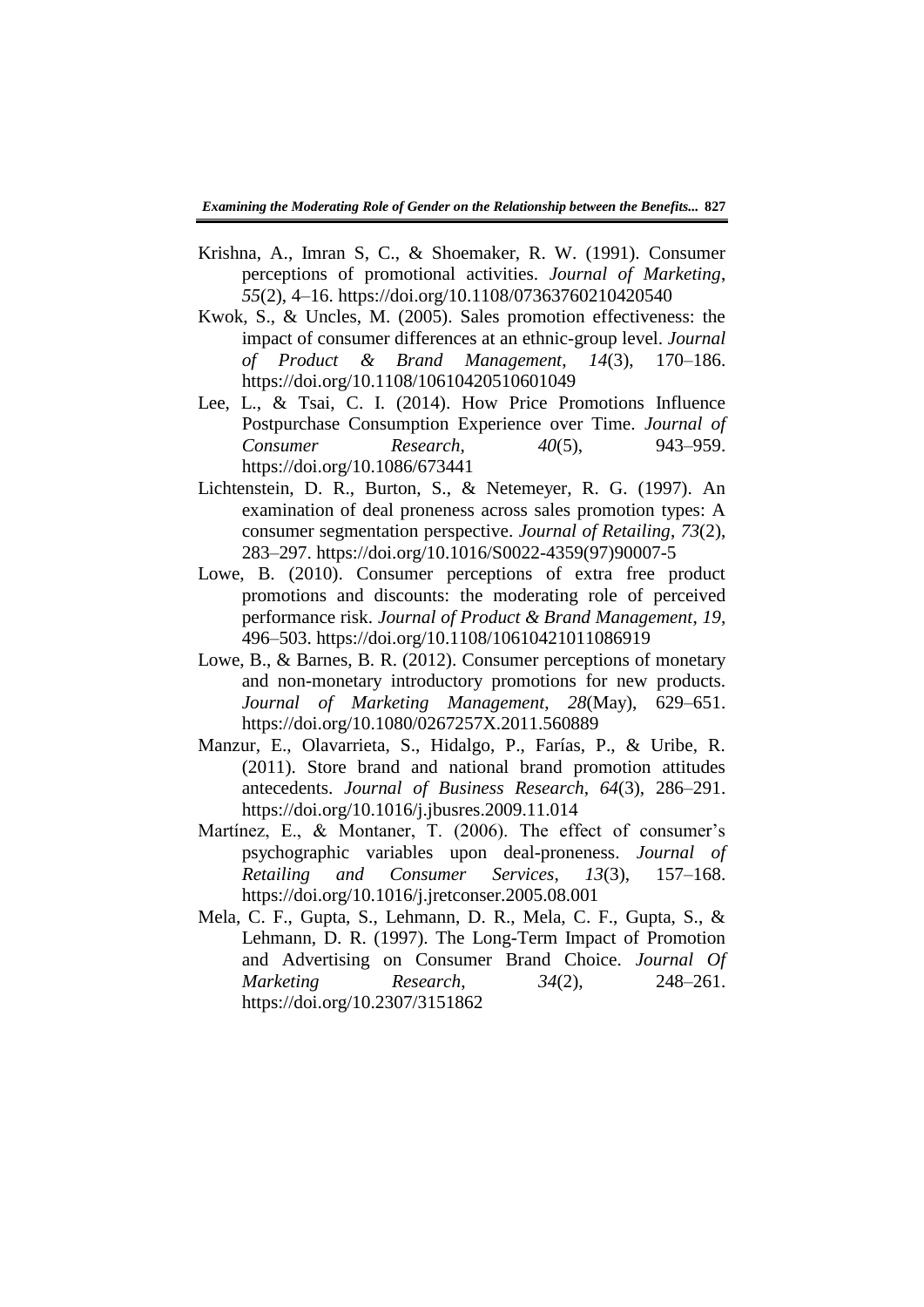- Krishna, A., Imran S, C., & Shoemaker, R. W. (1991). Consumer perceptions of promotional activities. *Journal of Marketing*, *55*(2), 4–16. https://doi.org/10.1108/07363760210420540
- Kwok, S., & Uncles, M. (2005). Sales promotion effectiveness: the impact of consumer differences at an ethnic-group level. *Journal of Product & Brand Management*, *14*(3), 170–186. https://doi.org/10.1108/10610420510601049
- Lee, L., & Tsai, C. I. (2014). How Price Promotions Influence Postpurchase Consumption Experience over Time. *Journal of Consumer Research*, *40*(5), 943–959. https://doi.org/10.1086/673441
- Lichtenstein, D. R., Burton, S., & Netemeyer, R. G. (1997). An examination of deal proneness across sales promotion types: A consumer segmentation perspective. *Journal of Retailing*, *73*(2), 283–297. https://doi.org/10.1016/S0022-4359(97)90007-5
- Lowe, B. (2010). Consumer perceptions of extra free product promotions and discounts: the moderating role of perceived performance risk. *Journal of Product & Brand Management*, *19*, 496–503. https://doi.org/10.1108/10610421011086919
- Lowe, B., & Barnes, B. R. (2012). Consumer perceptions of monetary and non-monetary introductory promotions for new products. *Journal of Marketing Management*, *28*(May), 629–651. https://doi.org/10.1080/0267257X.2011.560889
- Manzur, E., Olavarrieta, S., Hidalgo, P., Farías, P., & Uribe, R. (2011). Store brand and national brand promotion attitudes antecedents. *Journal of Business Research*, *64*(3), 286–291. https://doi.org/10.1016/j.jbusres.2009.11.014
- Martínez, E., & Montaner, T. (2006). The effect of consumer's psychographic variables upon deal-proneness. *Journal of Retailing and Consumer Services*, *13*(3), 157–168. https://doi.org/10.1016/j.jretconser.2005.08.001
- Mela, C. F., Gupta, S., Lehmann, D. R., Mela, C. F., Gupta, S., & Lehmann, D. R. (1997). The Long-Term Impact of Promotion and Advertising on Consumer Brand Choice. *Journal Of Marketing Research*, *34*(2), 248–261. https://doi.org/10.2307/3151862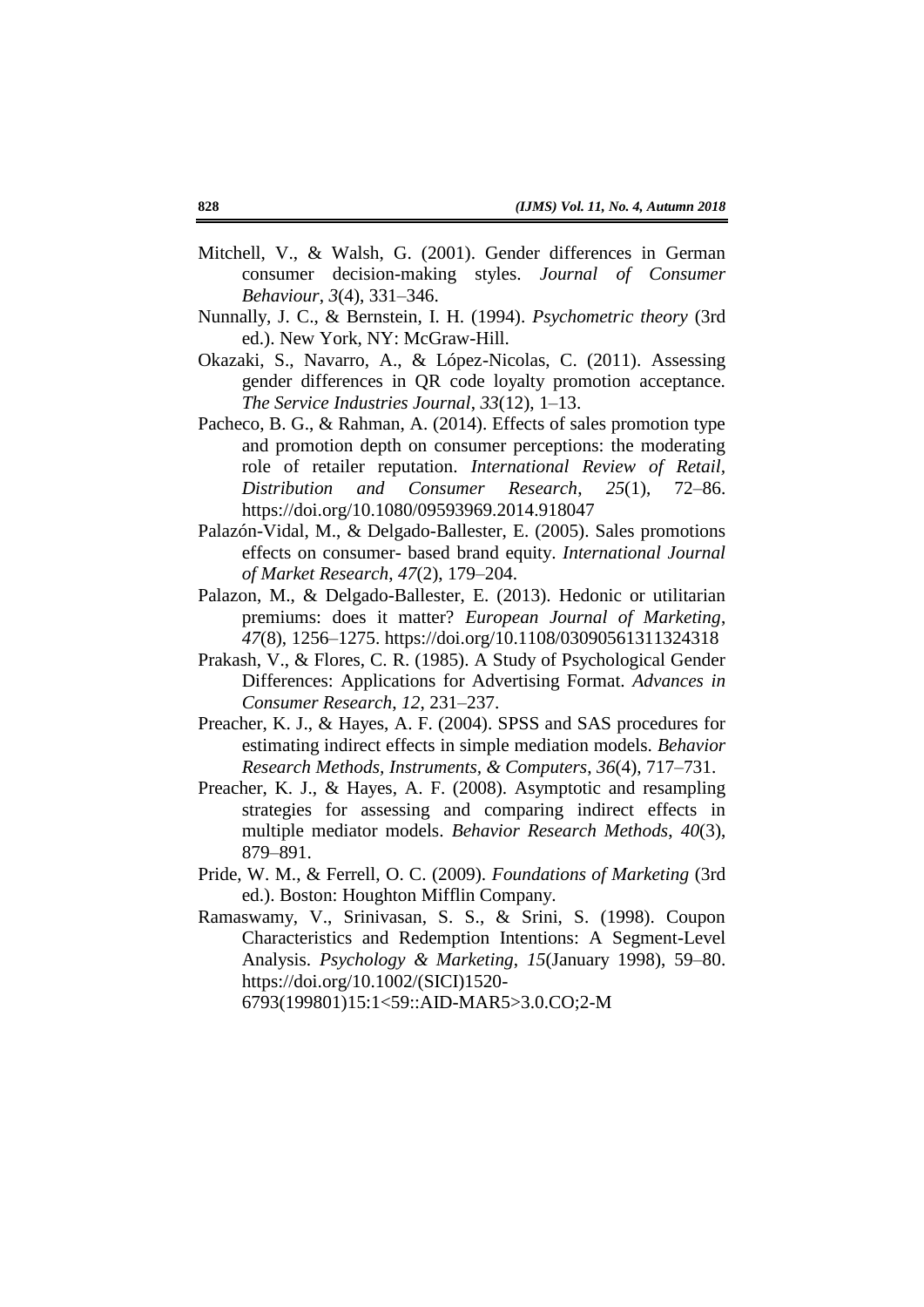- Mitchell, V., & Walsh, G. (2001). Gender differences in German consumer decision-making styles. *Journal of Consumer Behaviour*, *3*(4), 331–346.
- Nunnally, J. C., & Bernstein, I. H. (1994). *Psychometric theory* (3rd ed.). New York, NY: McGraw-Hill.
- Okazaki, S., Navarro, A., & López-Nicolas, C. (2011). Assessing gender differences in QR code loyalty promotion acceptance. *The Service Industries Journal*, *33*(12), 1–13.
- Pacheco, B. G., & Rahman, A. (2014). Effects of sales promotion type and promotion depth on consumer perceptions: the moderating role of retailer reputation. *International Review of Retail, Distribution and Consumer Research*, *25*(1), 72–86. https://doi.org/10.1080/09593969.2014.918047
- Palazón-Vidal, M., & Delgado-Ballester, E. (2005). Sales promotions effects on consumer- based brand equity. *International Journal of Market Research*, *47*(2), 179–204.
- Palazon, M., & Delgado-Ballester, E. (2013). Hedonic or utilitarian premiums: does it matter? *European Journal of Marketing*, *47*(8), 1256–1275. https://doi.org/10.1108/03090561311324318
- Prakash, V., & Flores, C. R. (1985). A Study of Psychological Gender Differences: Applications for Advertising Format. *Advances in Consumer Research*, *12*, 231–237.
- Preacher, K. J., & Hayes, A. F. (2004). SPSS and SAS procedures for estimating indirect effects in simple mediation models. *Behavior Research Methods, Instruments, & Computers*, *36*(4), 717–731.
- Preacher, K. J., & Hayes, A. F. (2008). Asymptotic and resampling strategies for assessing and comparing indirect effects in multiple mediator models. *Behavior Research Methods*, *40*(3), 879–891.
- Pride, W. M., & Ferrell, O. C. (2009). *Foundations of Marketing* (3rd ed.). Boston: Houghton Mifflin Company.
- Ramaswamy, V., Srinivasan, S. S., & Srini, S. (1998). Coupon Characteristics and Redemption Intentions: A Segment-Level Analysis. *Psychology & Marketing*, *15*(January 1998), 59–80. https://doi.org/10.1002/(SICI)1520-

6793(199801)15:1<59::AID-MAR5>3.0.CO;2-M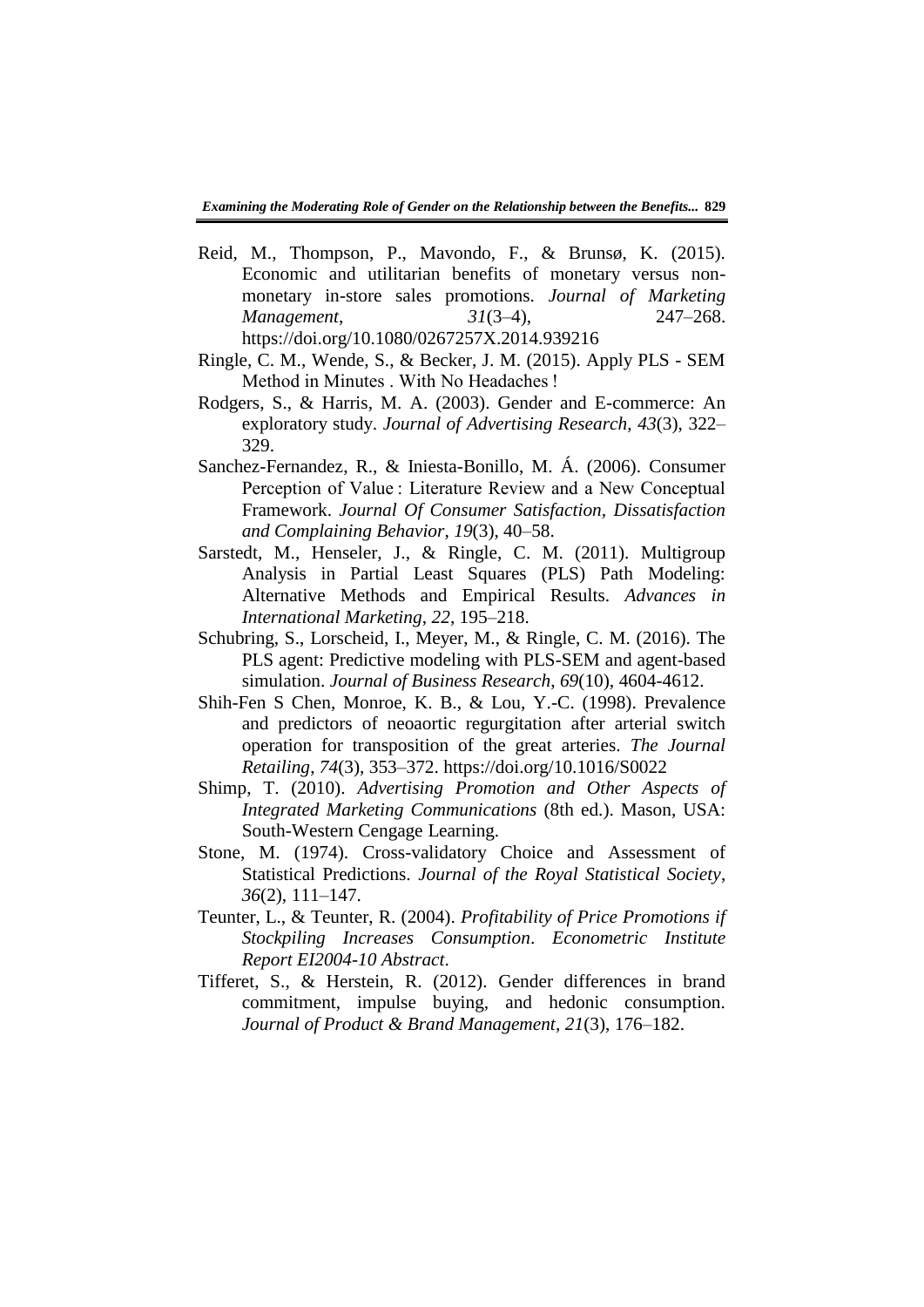- Reid, M., Thompson, P., Mavondo, F., & Brunsø, K. (2015). Economic and utilitarian benefits of monetary versus nonmonetary in-store sales promotions. *Journal of Marketing Management*, *31*(3–4), 247–268. https://doi.org/10.1080/0267257X.2014.939216
- Ringle, C. M., Wende, S., & Becker, J. M. (2015). Apply PLS SEM Method in Minutes . With No Headaches !
- Rodgers, S., & Harris, M. A. (2003). Gender and E-commerce: An exploratory study. *Journal of Advertising Research*, *43*(3), 322– 329.
- Sanchez-Fernandez, R., & Iniesta-Bonillo, M. Á. (2006). Consumer Perception of Value : Literature Review and a New Conceptual Framework. *Journal Of Consumer Satisfaction, Dissatisfaction and Complaining Behavior*, *19*(3), 40–58.
- Sarstedt, M., Henseler, J., & Ringle, C. M. (2011). Multigroup Analysis in Partial Least Squares (PLS) Path Modeling: Alternative Methods and Empirical Results. *Advances in International Marketing*, *22*, 195–218.
- Schubring, S., Lorscheid, I., Meyer, M., & Ringle, C. M. (2016). The PLS agent: Predictive modeling with PLS-SEM and agent-based simulation. *Journal of Business Research*, *69*(10), 4604-4612.
- Shih-Fen S Chen, Monroe, K. B., & Lou, Y.-C. (1998). Prevalence and predictors of neoaortic regurgitation after arterial switch operation for transposition of the great arteries. *The Journal Retailing*, *74*(3), 353–372. https://doi.org/10.1016/S0022
- Shimp, T. (2010). *Advertising Promotion and Other Aspects of Integrated Marketing Communications* (8th ed.). Mason, USA: South-Western Cengage Learning.
- Stone, M. (1974). Cross-validatory Choice and Assessment of Statistical Predictions. *Journal of the Royal Statistical Society*, *36*(2), 111–147.
- Teunter, L., & Teunter, R. (2004). *Profitability of Price Promotions if Stockpiling Increases Consumption*. *Econometric Institute Report EI2004-10 Abstract*.
- Tifferet, S., & Herstein, R. (2012). Gender differences in brand commitment, impulse buying, and hedonic consumption. *Journal of Product & Brand Management*, *21*(3), 176–182.